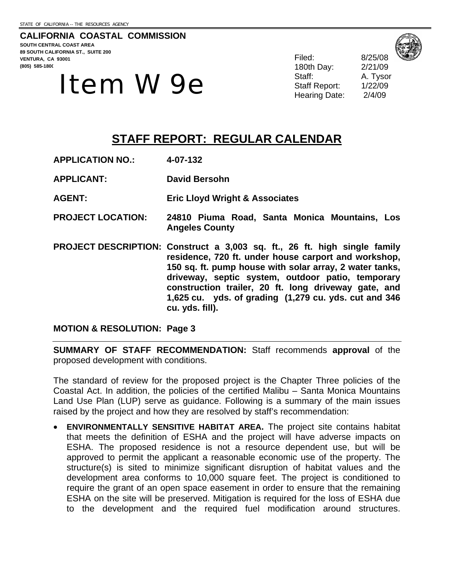**CALIFORNIA COASTAL COMMISSION SOUTH CENTRAL COAST AREA 89 SOUTH CALIFORNIA ST., SUITE 200 VENTURA, CA 93001 (805) 585-1800** 

# $\textbf{Item } \textbf{W} \textbf{9e} \qquad \qquad \begin{array}{ccc} \text{Staff Report:} & \text{Staff Report:} \\ \text{Staff Report:} & \text{1/22/09} \\ \text{Hearing Date:} & \text{2/4/09} \end{array}$

Filed: 8/25/08 180th Day: 2/21/09 Staff: A. Tysor

# **STAFF REPORT: REGULAR CALENDAR**

- **APPLICATION NO.: 4-07-132**
- **APPLICANT: David Bersohn**
- **AGENT: Eric Lloyd Wright & Associates**
- **PROJECT LOCATION: 24810 Piuma Road, Santa Monica Mountains, Los Angeles County**
- **PROJECT DESCRIPTION: Construct a 3,003 sq. ft., 26 ft. high single family residence, 720 ft. under house carport and workshop, 150 sq. ft. pump house with solar array, 2 water tanks, driveway, septic system, outdoor patio, temporary construction trailer, 20 ft. long driveway gate, and 1,625 cu. yds. of grading (1,279 cu. yds. cut and 346 cu. yds. fill).**

**MOTION & RESOLUTION: Page 3** 

**SUMMARY OF STAFF RECOMMENDATION:** Staff recommends **approval** of the proposed development with conditions.

The standard of review for the proposed project is the Chapter Three policies of the Coastal Act. In addition, the policies of the certified Malibu – Santa Monica Mountains Land Use Plan (LUP) serve as guidance. Following is a summary of the main issues raised by the project and how they are resolved by staff's recommendation:

• **ENVIRONMENTALLY SENSITIVE HABITAT AREA.** The project site contains habitat that meets the definition of ESHA and the project will have adverse impacts on ESHA. The proposed residence is not a resource dependent use, but will be approved to permit the applicant a reasonable economic use of the property. The structure(s) is sited to minimize significant disruption of habitat values and the development area conforms to 10,000 square feet. The project is conditioned to require the grant of an open space easement in order to ensure that the remaining ESHA on the site will be preserved. Mitigation is required for the loss of ESHA due to the development and the required fuel modification around structures.

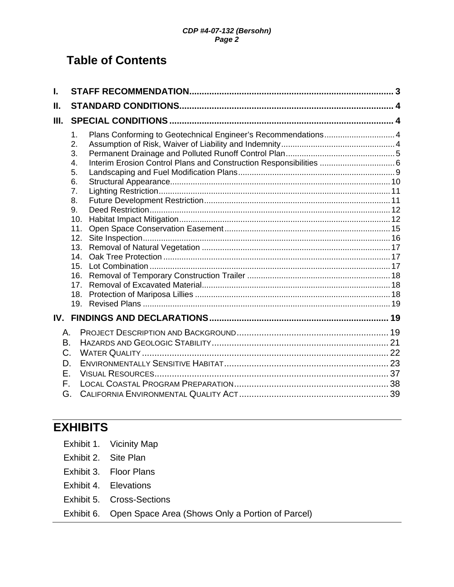# **Table of Contents**

| Plans Conforming to Geotechnical Engineer's Recommendations 4<br>1.<br>2.<br>3.<br>Interim Erosion Control Plans and Construction Responsibilities  6<br>4.<br>5.<br>6.<br>7.<br>8.<br>9.<br>10.<br>11.<br>12.<br>13.<br>14.<br>15.<br>16.<br>17 <sup>2</sup><br>18.<br>19. |  |
|-----------------------------------------------------------------------------------------------------------------------------------------------------------------------------------------------------------------------------------------------------------------------------|--|
|                                                                                                                                                                                                                                                                             |  |
| А.<br>B.<br>C.<br>D.<br>Е.<br>F.<br>G.                                                                                                                                                                                                                                      |  |
|                                                                                                                                                                                                                                                                             |  |

# **EXHIBITS**

- Exhibit 2. Site Plan
- Exhibit 3. Floor Plans
- Exhibit 4. Elevations
- Exhibit 5. Cross-Sections
- Exhibit 6. Open Space Area (Shows Only a Portion of Parcel)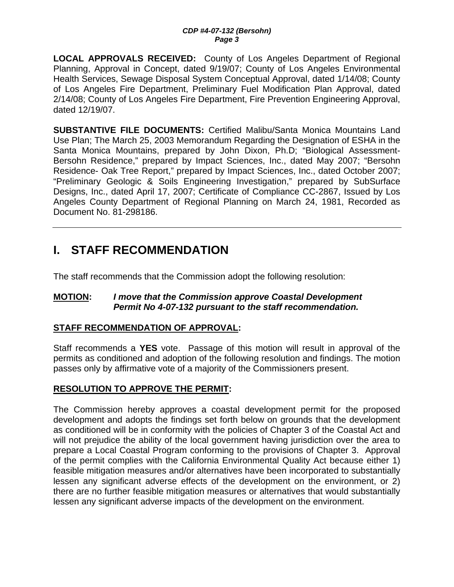**LOCAL APPROVALS RECEIVED:** County of Los Angeles Department of Regional Planning, Approval in Concept, dated 9/19/07; County of Los Angeles Environmental Health Services, Sewage Disposal System Conceptual Approval, dated 1/14/08; County of Los Angeles Fire Department, Preliminary Fuel Modification Plan Approval, dated 2/14/08; County of Los Angeles Fire Department, Fire Prevention Engineering Approval, dated 12/19/07.

**SUBSTANTIVE FILE DOCUMENTS:** Certified Malibu/Santa Monica Mountains Land Use Plan; The March 25, 2003 Memorandum Regarding the Designation of ESHA in the Santa Monica Mountains, prepared by John Dixon, Ph.D; "Biological Assessment-Bersohn Residence," prepared by Impact Sciences, Inc., dated May 2007; "Bersohn Residence- Oak Tree Report," prepared by Impact Sciences, Inc., dated October 2007; "Preliminary Geologic & Soils Engineering Investigation," prepared by SubSurface Designs, Inc., dated April 17, 2007; Certificate of Compliance CC-2867, Issued by Los Angeles County Department of Regional Planning on March 24, 1981, Recorded as Document No. 81-298186.

# **I. STAFF RECOMMENDATION**

The staff recommends that the Commission adopt the following resolution:

#### **MOTION:** *I move that the Commission approve Coastal Development Permit No 4-07-132 pursuant to the staff recommendation.*

## **STAFF RECOMMENDATION OF APPROVAL:**

Staff recommends a **YES** vote. Passage of this motion will result in approval of the permits as conditioned and adoption of the following resolution and findings. The motion passes only by affirmative vote of a majority of the Commissioners present.

## **RESOLUTION TO APPROVE THE PERMIT:**

The Commission hereby approves a coastal development permit for the proposed development and adopts the findings set forth below on grounds that the development as conditioned will be in conformity with the policies of Chapter 3 of the Coastal Act and will not prejudice the ability of the local government having jurisdiction over the area to prepare a Local Coastal Program conforming to the provisions of Chapter 3. Approval of the permit complies with the California Environmental Quality Act because either 1) feasible mitigation measures and/or alternatives have been incorporated to substantially lessen any significant adverse effects of the development on the environment, or 2) there are no further feasible mitigation measures or alternatives that would substantially lessen any significant adverse impacts of the development on the environment.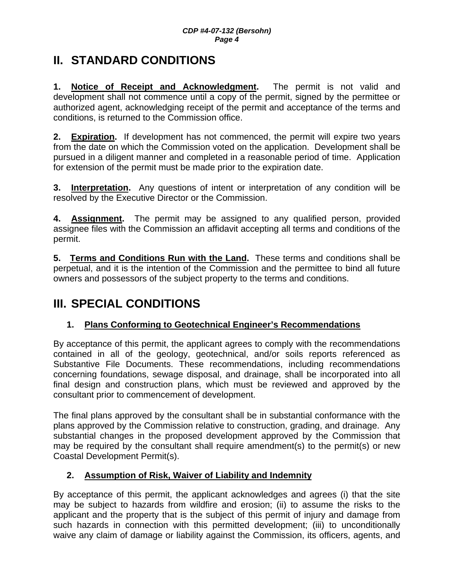# **II. STANDARD CONDITIONS**

**1. Notice of Receipt and Acknowledgment.** The permit is not valid and development shall not commence until a copy of the permit, signed by the permittee or authorized agent, acknowledging receipt of the permit and acceptance of the terms and conditions, is returned to the Commission office.

**2. Expiration.** If development has not commenced, the permit will expire two years from the date on which the Commission voted on the application. Development shall be pursued in a diligent manner and completed in a reasonable period of time. Application for extension of the permit must be made prior to the expiration date.

**3. Interpretation.** Any questions of intent or interpretation of any condition will be resolved by the Executive Director or the Commission.

**4. Assignment.** The permit may be assigned to any qualified person, provided assignee files with the Commission an affidavit accepting all terms and conditions of the permit.

**5. Terms and Conditions Run with the Land.** These terms and conditions shall be perpetual, and it is the intention of the Commission and the permittee to bind all future owners and possessors of the subject property to the terms and conditions.

# **III. SPECIAL CONDITIONS**

## **1. Plans Conforming to Geotechnical Engineer's Recommendations**

By acceptance of this permit, the applicant agrees to comply with the recommendations contained in all of the geology, geotechnical, and/or soils reports referenced as Substantive File Documents. These recommendations, including recommendations concerning foundations, sewage disposal, and drainage, shall be incorporated into all final design and construction plans, which must be reviewed and approved by the consultant prior to commencement of development.

The final plans approved by the consultant shall be in substantial conformance with the plans approved by the Commission relative to construction, grading, and drainage. Any substantial changes in the proposed development approved by the Commission that may be required by the consultant shall require amendment(s) to the permit(s) or new Coastal Development Permit(s).

## **2. Assumption of Risk, Waiver of Liability and Indemnity**

By acceptance of this permit, the applicant acknowledges and agrees (i) that the site may be subject to hazards from wildfire and erosion; (ii) to assume the risks to the applicant and the property that is the subject of this permit of injury and damage from such hazards in connection with this permitted development; (iii) to unconditionally waive any claim of damage or liability against the Commission, its officers, agents, and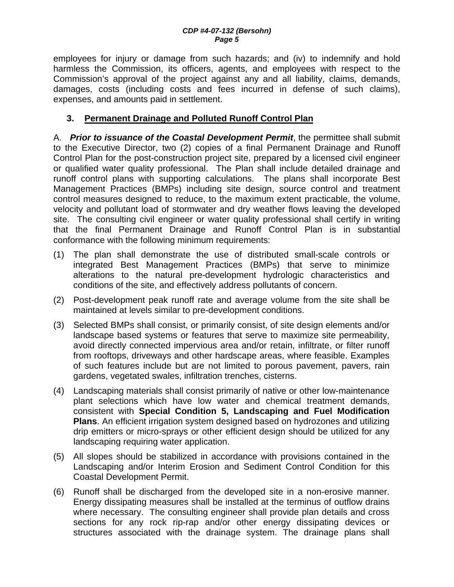employees for injury or damage from such hazards; and (iv) to indemnify and hold harmless the Commission, its officers, agents, and employees with respect to the Commission's approval of the project against any and all liability, claims, demands, damages, costs (including costs and fees incurred in defense of such claims), expenses, and amounts paid in settlement.

## **3. Permanent Drainage and Polluted Runoff Control Plan**

A. *Prior to issuance of the Coastal Development Permit*, the permittee shall submit to the Executive Director, two (2) copies of a final Permanent Drainage and Runoff Control Plan for the post-construction project site, prepared by a licensed civil engineer or qualified water quality professional. The Plan shall include detailed drainage and runoff control plans with supporting calculations. The plans shall incorporate Best Management Practices (BMPs) including site design, source control and treatment control measures designed to reduce, to the maximum extent practicable, the volume, velocity and pollutant load of stormwater and dry weather flows leaving the developed site. The consulting civil engineer or water quality professional shall certify in writing that the final Permanent Drainage and Runoff Control Plan is in substantial conformance with the following minimum requirements:

- (1) The plan shall demonstrate the use of distributed small-scale controls or integrated Best Management Practices (BMPs) that serve to minimize alterations to the natural pre-development hydrologic characteristics and conditions of the site, and effectively address pollutants of concern.
- (2) Post-development peak runoff rate and average volume from the site shall be maintained at levels similar to pre-development conditions.
- (3) Selected BMPs shall consist, or primarily consist, of site design elements and/or landscape based systems or features that serve to maximize site permeability, avoid directly connected impervious area and/or retain, infiltrate, or filter runoff from rooftops, driveways and other hardscape areas, where feasible. Examples of such features include but are not limited to porous pavement, pavers, rain gardens, vegetated swales, infiltration trenches, cisterns.
- (4) Landscaping materials shall consist primarily of native or other low-maintenance plant selections which have low water and chemical treatment demands, consistent with **Special Condition 5, Landscaping and Fuel Modification Plans**. An efficient irrigation system designed based on hydrozones and utilizing drip emitters or micro-sprays or other efficient design should be utilized for any landscaping requiring water application.
- (5) All slopes should be stabilized in accordance with provisions contained in the Landscaping and/or Interim Erosion and Sediment Control Condition for this Coastal Development Permit.
- (6) Runoff shall be discharged from the developed site in a non-erosive manner. Energy dissipating measures shall be installed at the terminus of outflow drains where necessary. The consulting engineer shall provide plan details and cross sections for any rock rip-rap and/or other energy dissipating devices or structures associated with the drainage system. The drainage plans shall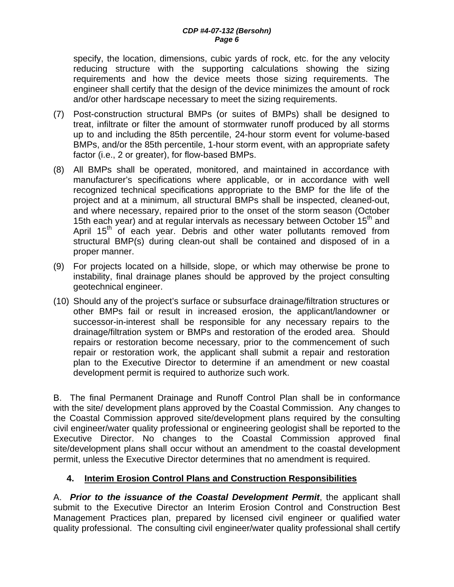specify, the location, dimensions, cubic yards of rock, etc. for the any velocity reducing structure with the supporting calculations showing the sizing requirements and how the device meets those sizing requirements. The engineer shall certify that the design of the device minimizes the amount of rock and/or other hardscape necessary to meet the sizing requirements.

- (7) Post-construction structural BMPs (or suites of BMPs) shall be designed to treat, infiltrate or filter the amount of stormwater runoff produced by all storms up to and including the 85th percentile, 24-hour storm event for volume-based BMPs, and/or the 85th percentile, 1-hour storm event, with an appropriate safety factor (i.e., 2 or greater), for flow-based BMPs.
- (8) All BMPs shall be operated, monitored, and maintained in accordance with manufacturer's specifications where applicable, or in accordance with well recognized technical specifications appropriate to the BMP for the life of the project and at a minimum, all structural BMPs shall be inspected, cleaned-out, and where necessary, repaired prior to the onset of the storm season (October 15th each vear) and at regular intervals as necessary between October  $15<sup>th</sup>$  and April 15<sup>th</sup> of each year. Debris and other water pollutants removed from structural BMP(s) during clean-out shall be contained and disposed of in a proper manner.
- (9) For projects located on a hillside, slope, or which may otherwise be prone to instability, final drainage planes should be approved by the project consulting geotechnical engineer.
- (10) Should any of the project's surface or subsurface drainage/filtration structures or other BMPs fail or result in increased erosion, the applicant/landowner or successor-in-interest shall be responsible for any necessary repairs to the drainage/filtration system or BMPs and restoration of the eroded area. Should repairs or restoration become necessary, prior to the commencement of such repair or restoration work, the applicant shall submit a repair and restoration plan to the Executive Director to determine if an amendment or new coastal development permit is required to authorize such work.

B. The final Permanent Drainage and Runoff Control Plan shall be in conformance with the site/ development plans approved by the Coastal Commission. Any changes to the Coastal Commission approved site/development plans required by the consulting civil engineer/water quality professional or engineering geologist shall be reported to the Executive Director. No changes to the Coastal Commission approved final site/development plans shall occur without an amendment to the coastal development permit, unless the Executive Director determines that no amendment is required.

## **4. Interim Erosion Control Plans and Construction Responsibilities**

A. *Prior to the issuance of the Coastal Development Permit*, the applicant shall submit to the Executive Director an Interim Erosion Control and Construction Best Management Practices plan, prepared by licensed civil engineer or qualified water quality professional. The consulting civil engineer/water quality professional shall certify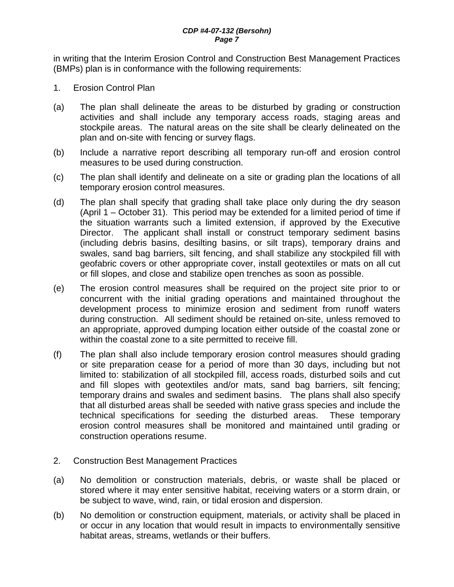in writing that the Interim Erosion Control and Construction Best Management Practices (BMPs) plan is in conformance with the following requirements:

- 1. Erosion Control Plan
- (a) The plan shall delineate the areas to be disturbed by grading or construction activities and shall include any temporary access roads, staging areas and stockpile areas. The natural areas on the site shall be clearly delineated on the plan and on-site with fencing or survey flags.
- (b) Include a narrative report describing all temporary run-off and erosion control measures to be used during construction.
- (c) The plan shall identify and delineate on a site or grading plan the locations of all temporary erosion control measures.
- (d) The plan shall specify that grading shall take place only during the dry season (April 1 – October 31). This period may be extended for a limited period of time if the situation warrants such a limited extension, if approved by the Executive Director. The applicant shall install or construct temporary sediment basins (including debris basins, desilting basins, or silt traps), temporary drains and swales, sand bag barriers, silt fencing, and shall stabilize any stockpiled fill with geofabric covers or other appropriate cover, install geotextiles or mats on all cut or fill slopes, and close and stabilize open trenches as soon as possible.
- (e) The erosion control measures shall be required on the project site prior to or concurrent with the initial grading operations and maintained throughout the development process to minimize erosion and sediment from runoff waters during construction. All sediment should be retained on-site, unless removed to an appropriate, approved dumping location either outside of the coastal zone or within the coastal zone to a site permitted to receive fill.
- (f) The plan shall also include temporary erosion control measures should grading or site preparation cease for a period of more than 30 days, including but not limited to: stabilization of all stockpiled fill, access roads, disturbed soils and cut and fill slopes with geotextiles and/or mats, sand bag barriers, silt fencing; temporary drains and swales and sediment basins. The plans shall also specify that all disturbed areas shall be seeded with native grass species and include the technical specifications for seeding the disturbed areas. These temporary erosion control measures shall be monitored and maintained until grading or construction operations resume.
- 2. Construction Best Management Practices
- (a) No demolition or construction materials, debris, or waste shall be placed or stored where it may enter sensitive habitat, receiving waters or a storm drain, or be subject to wave, wind, rain, or tidal erosion and dispersion.
- (b) No demolition or construction equipment, materials, or activity shall be placed in or occur in any location that would result in impacts to environmentally sensitive habitat areas, streams, wetlands or their buffers.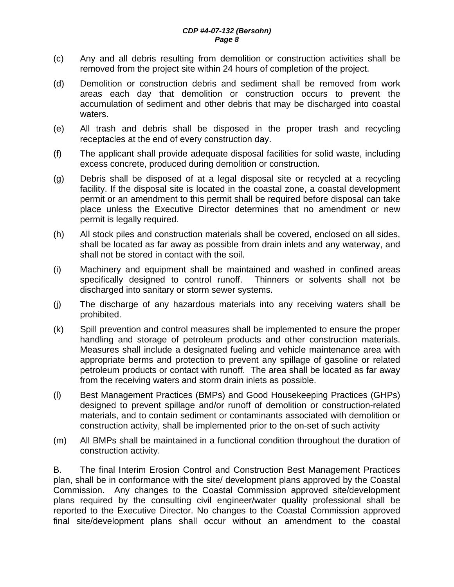- (c) Any and all debris resulting from demolition or construction activities shall be removed from the project site within 24 hours of completion of the project.
- (d) Demolition or construction debris and sediment shall be removed from work areas each day that demolition or construction occurs to prevent the accumulation of sediment and other debris that may be discharged into coastal waters.
- (e) All trash and debris shall be disposed in the proper trash and recycling receptacles at the end of every construction day.
- (f) The applicant shall provide adequate disposal facilities for solid waste, including excess concrete, produced during demolition or construction.
- (g) Debris shall be disposed of at a legal disposal site or recycled at a recycling facility. If the disposal site is located in the coastal zone, a coastal development permit or an amendment to this permit shall be required before disposal can take place unless the Executive Director determines that no amendment or new permit is legally required.
- (h) All stock piles and construction materials shall be covered, enclosed on all sides, shall be located as far away as possible from drain inlets and any waterway, and shall not be stored in contact with the soil.
- (i) Machinery and equipment shall be maintained and washed in confined areas specifically designed to control runoff. Thinners or solvents shall not be discharged into sanitary or storm sewer systems.
- (j) The discharge of any hazardous materials into any receiving waters shall be prohibited.
- (k) Spill prevention and control measures shall be implemented to ensure the proper handling and storage of petroleum products and other construction materials. Measures shall include a designated fueling and vehicle maintenance area with appropriate berms and protection to prevent any spillage of gasoline or related petroleum products or contact with runoff. The area shall be located as far away from the receiving waters and storm drain inlets as possible.
- (l) Best Management Practices (BMPs) and Good Housekeeping Practices (GHPs) designed to prevent spillage and/or runoff of demolition or construction-related materials, and to contain sediment or contaminants associated with demolition or construction activity, shall be implemented prior to the on-set of such activity
- (m) All BMPs shall be maintained in a functional condition throughout the duration of construction activity.

B. The final Interim Erosion Control and Construction Best Management Practices plan, shall be in conformance with the site/ development plans approved by the Coastal Commission. Any changes to the Coastal Commission approved site/development plans required by the consulting civil engineer/water quality professional shall be reported to the Executive Director. No changes to the Coastal Commission approved final site/development plans shall occur without an amendment to the coastal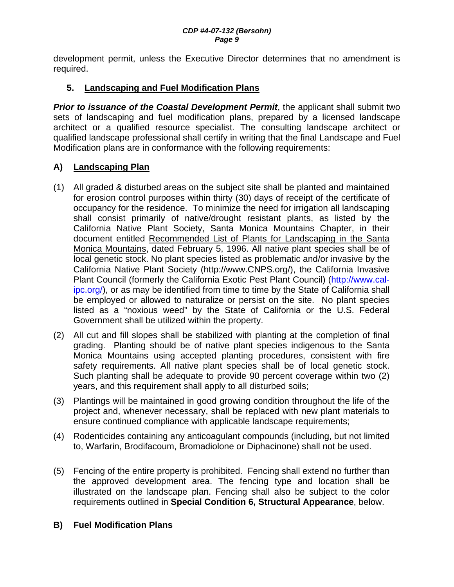development permit, unless the Executive Director determines that no amendment is required.

## **5. Landscaping and Fuel Modification Plans**

**Prior to issuance of the Coastal Development Permit**, the applicant shall submit two sets of landscaping and fuel modification plans, prepared by a licensed landscape architect or a qualified resource specialist. The consulting landscape architect or qualified landscape professional shall certify in writing that the final Landscape and Fuel Modification plans are in conformance with the following requirements:

## **A) Landscaping Plan**

- (1) All graded & disturbed areas on the subject site shall be planted and maintained for erosion control purposes within thirty (30) days of receipt of the certificate of occupancy for the residence. To minimize the need for irrigation all landscaping shall consist primarily of native/drought resistant plants, as listed by the California Native Plant Society, Santa Monica Mountains Chapter, in their document entitled Recommended List of Plants for Landscaping in the Santa Monica Mountains, dated February 5, 1996. All native plant species shall be of local genetic stock. No plant species listed as problematic and/or invasive by the California Native Plant Society (http://www.CNPS.org/), the California Invasive Plant Council (formerly the California Exotic Pest Plant Council) (http://www.calipc.org/), or as may be identified from time to time by the State of California shall be employed or allowed to naturalize or persist on the site. No plant species listed as a "noxious weed" by the State of California or the U.S. Federal Government shall be utilized within the property.
- (2) All cut and fill slopes shall be stabilized with planting at the completion of final grading. Planting should be of native plant species indigenous to the Santa Monica Mountains using accepted planting procedures, consistent with fire safety requirements. All native plant species shall be of local genetic stock. Such planting shall be adequate to provide 90 percent coverage within two (2) years, and this requirement shall apply to all disturbed soils;
- (3) Plantings will be maintained in good growing condition throughout the life of the project and, whenever necessary, shall be replaced with new plant materials to ensure continued compliance with applicable landscape requirements;
- (4) Rodenticides containing any anticoagulant compounds (including, but not limited to, Warfarin, Brodifacoum, Bromadiolone or Diphacinone) shall not be used.
- (5) Fencing of the entire property is prohibited. Fencing shall extend no further than the approved development area. The fencing type and location shall be illustrated on the landscape plan. Fencing shall also be subject to the color requirements outlined in **Special Condition 6, Structural Appearance**, below.

## **B) Fuel Modification Plans**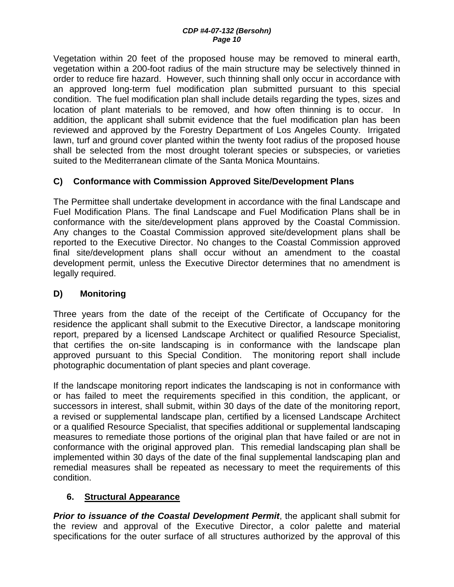Vegetation within 20 feet of the proposed house may be removed to mineral earth, vegetation within a 200-foot radius of the main structure may be selectively thinned in order to reduce fire hazard. However, such thinning shall only occur in accordance with an approved long-term fuel modification plan submitted pursuant to this special condition. The fuel modification plan shall include details regarding the types, sizes and location of plant materials to be removed, and how often thinning is to occur. In addition, the applicant shall submit evidence that the fuel modification plan has been reviewed and approved by the Forestry Department of Los Angeles County. Irrigated lawn, turf and ground cover planted within the twenty foot radius of the proposed house shall be selected from the most drought tolerant species or subspecies, or varieties suited to the Mediterranean climate of the Santa Monica Mountains.

## **C) Conformance with Commission Approved Site/Development Plans**

The Permittee shall undertake development in accordance with the final Landscape and Fuel Modification Plans. The final Landscape and Fuel Modification Plans shall be in conformance with the site/development plans approved by the Coastal Commission. Any changes to the Coastal Commission approved site/development plans shall be reported to the Executive Director. No changes to the Coastal Commission approved final site/development plans shall occur without an amendment to the coastal development permit, unless the Executive Director determines that no amendment is legally required.

## **D) Monitoring**

Three years from the date of the receipt of the Certificate of Occupancy for the residence the applicant shall submit to the Executive Director, a landscape monitoring report, prepared by a licensed Landscape Architect or qualified Resource Specialist, that certifies the on-site landscaping is in conformance with the landscape plan approved pursuant to this Special Condition. The monitoring report shall include photographic documentation of plant species and plant coverage.

If the landscape monitoring report indicates the landscaping is not in conformance with or has failed to meet the requirements specified in this condition, the applicant, or successors in interest, shall submit, within 30 days of the date of the monitoring report, a revised or supplemental landscape plan, certified by a licensed Landscape Architect or a qualified Resource Specialist, that specifies additional or supplemental landscaping measures to remediate those portions of the original plan that have failed or are not in conformance with the original approved plan. This remedial landscaping plan shall be implemented within 30 days of the date of the final supplemental landscaping plan and remedial measures shall be repeated as necessary to meet the requirements of this condition.

## **6. Structural Appearance**

*Prior to issuance of the Coastal Development Permit*, the applicant shall submit for the review and approval of the Executive Director, a color palette and material specifications for the outer surface of all structures authorized by the approval of this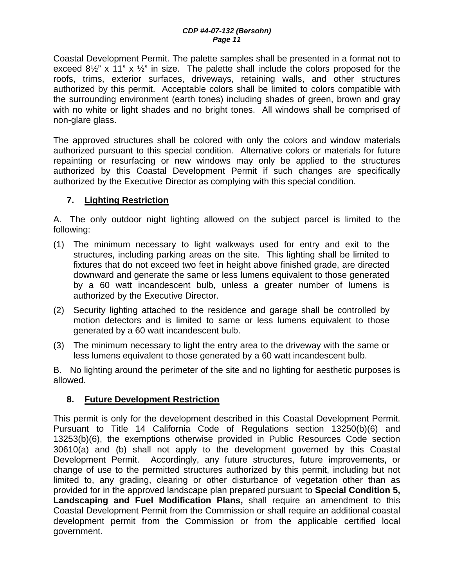Coastal Development Permit. The palette samples shall be presented in a format not to exceed  $8\frac{1}{2}$ " x 11" x  $\frac{1}{2}$ " in size. The palette shall include the colors proposed for the roofs, trims, exterior surfaces, driveways, retaining walls, and other structures authorized by this permit. Acceptable colors shall be limited to colors compatible with the surrounding environment (earth tones) including shades of green, brown and gray with no white or light shades and no bright tones. All windows shall be comprised of non-glare glass.

The approved structures shall be colored with only the colors and window materials authorized pursuant to this special condition. Alternative colors or materials for future repainting or resurfacing or new windows may only be applied to the structures authorized by this Coastal Development Permit if such changes are specifically authorized by the Executive Director as complying with this special condition.

## **7. Lighting Restriction**

A. The only outdoor night lighting allowed on the subject parcel is limited to the following:

- (1) The minimum necessary to light walkways used for entry and exit to the structures, including parking areas on the site. This lighting shall be limited to fixtures that do not exceed two feet in height above finished grade, are directed downward and generate the same or less lumens equivalent to those generated by a 60 watt incandescent bulb, unless a greater number of lumens is authorized by the Executive Director.
- (2) Security lighting attached to the residence and garage shall be controlled by motion detectors and is limited to same or less lumens equivalent to those generated by a 60 watt incandescent bulb.
- (3) The minimum necessary to light the entry area to the driveway with the same or less lumens equivalent to those generated by a 60 watt incandescent bulb.

B. No lighting around the perimeter of the site and no lighting for aesthetic purposes is allowed.

#### **8. Future Development Restriction**

This permit is only for the development described in this Coastal Development Permit. Pursuant to Title 14 California Code of Regulations section 13250(b)(6) and 13253(b)(6), the exemptions otherwise provided in Public Resources Code section 30610(a) and (b) shall not apply to the development governed by this Coastal Development Permit. Accordingly, any future structures, future improvements, or change of use to the permitted structures authorized by this permit, including but not limited to, any grading, clearing or other disturbance of vegetation other than as provided for in the approved landscape plan prepared pursuant to **Special Condition 5, Landscaping and Fuel Modification Plans,** shall require an amendment to this Coastal Development Permit from the Commission or shall require an additional coastal development permit from the Commission or from the applicable certified local government.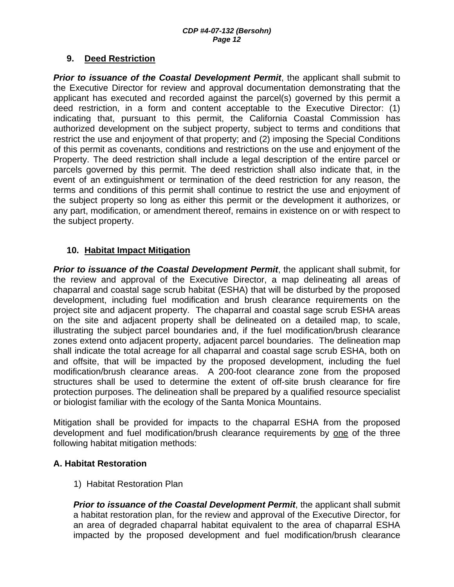#### **9. Deed Restriction**

**Prior to issuance of the Coastal Development Permit**, the applicant shall submit to the Executive Director for review and approval documentation demonstrating that the applicant has executed and recorded against the parcel(s) governed by this permit a deed restriction, in a form and content acceptable to the Executive Director: (1) indicating that, pursuant to this permit, the California Coastal Commission has authorized development on the subject property, subject to terms and conditions that restrict the use and enjoyment of that property; and (2) imposing the Special Conditions of this permit as covenants, conditions and restrictions on the use and enjoyment of the Property. The deed restriction shall include a legal description of the entire parcel or parcels governed by this permit. The deed restriction shall also indicate that, in the event of an extinguishment or termination of the deed restriction for any reason, the terms and conditions of this permit shall continue to restrict the use and enjoyment of the subject property so long as either this permit or the development it authorizes, or any part, modification, or amendment thereof, remains in existence on or with respect to the subject property.

## **10. Habitat Impact Mitigation**

**Prior to issuance of the Coastal Development Permit**, the applicant shall submit, for the review and approval of the Executive Director, a map delineating all areas of chaparral and coastal sage scrub habitat (ESHA) that will be disturbed by the proposed development, including fuel modification and brush clearance requirements on the project site and adjacent property. The chaparral and coastal sage scrub ESHA areas on the site and adjacent property shall be delineated on a detailed map, to scale, illustrating the subject parcel boundaries and, if the fuel modification/brush clearance zones extend onto adjacent property, adjacent parcel boundaries. The delineation map shall indicate the total acreage for all chaparral and coastal sage scrub ESHA, both on and offsite, that will be impacted by the proposed development, including the fuel modification/brush clearance areas. A 200-foot clearance zone from the proposed structures shall be used to determine the extent of off-site brush clearance for fire protection purposes. The delineation shall be prepared by a qualified resource specialist or biologist familiar with the ecology of the Santa Monica Mountains.

Mitigation shall be provided for impacts to the chaparral ESHA from the proposed development and fuel modification/brush clearance requirements by one of the three following habitat mitigation methods:

#### **A. Habitat Restoration**

1) Habitat Restoration Plan

*Prior to issuance of the Coastal Development Permit*, the applicant shall submit a habitat restoration plan, for the review and approval of the Executive Director, for an area of degraded chaparral habitat equivalent to the area of chaparral ESHA impacted by the proposed development and fuel modification/brush clearance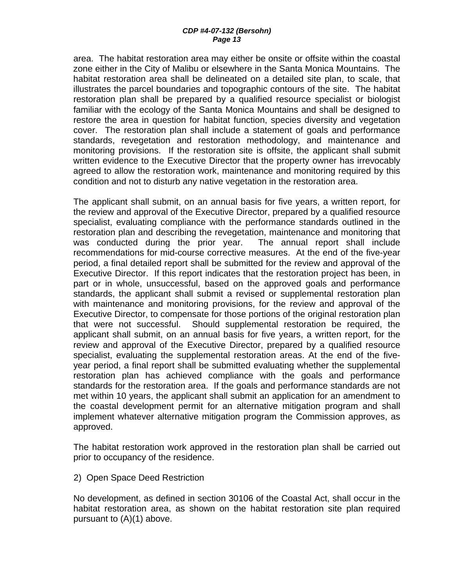area. The habitat restoration area may either be onsite or offsite within the coastal zone either in the City of Malibu or elsewhere in the Santa Monica Mountains. The habitat restoration area shall be delineated on a detailed site plan, to scale, that illustrates the parcel boundaries and topographic contours of the site. The habitat restoration plan shall be prepared by a qualified resource specialist or biologist familiar with the ecology of the Santa Monica Mountains and shall be designed to restore the area in question for habitat function, species diversity and vegetation cover. The restoration plan shall include a statement of goals and performance standards, revegetation and restoration methodology, and maintenance and monitoring provisions. If the restoration site is offsite, the applicant shall submit written evidence to the Executive Director that the property owner has irrevocably agreed to allow the restoration work, maintenance and monitoring required by this condition and not to disturb any native vegetation in the restoration area.

The applicant shall submit, on an annual basis for five years, a written report, for the review and approval of the Executive Director, prepared by a qualified resource specialist, evaluating compliance with the performance standards outlined in the restoration plan and describing the revegetation, maintenance and monitoring that was conducted during the prior year. The annual report shall include recommendations for mid-course corrective measures. At the end of the five-year period, a final detailed report shall be submitted for the review and approval of the Executive Director. If this report indicates that the restoration project has been, in part or in whole, unsuccessful, based on the approved goals and performance standards, the applicant shall submit a revised or supplemental restoration plan with maintenance and monitoring provisions, for the review and approval of the Executive Director, to compensate for those portions of the original restoration plan that were not successful. Should supplemental restoration be required, the applicant shall submit, on an annual basis for five years, a written report, for the review and approval of the Executive Director, prepared by a qualified resource specialist, evaluating the supplemental restoration areas. At the end of the fiveyear period, a final report shall be submitted evaluating whether the supplemental restoration plan has achieved compliance with the goals and performance standards for the restoration area. If the goals and performance standards are not met within 10 years, the applicant shall submit an application for an amendment to the coastal development permit for an alternative mitigation program and shall implement whatever alternative mitigation program the Commission approves, as approved.

The habitat restoration work approved in the restoration plan shall be carried out prior to occupancy of the residence.

2) Open Space Deed Restriction

No development, as defined in section 30106 of the Coastal Act, shall occur in the habitat restoration area, as shown on the habitat restoration site plan required pursuant to (A)(1) above.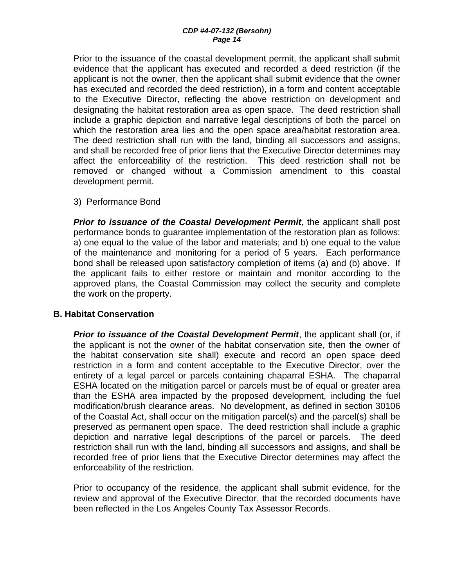Prior to the issuance of the coastal development permit, the applicant shall submit evidence that the applicant has executed and recorded a deed restriction (if the applicant is not the owner, then the applicant shall submit evidence that the owner has executed and recorded the deed restriction), in a form and content acceptable to the Executive Director, reflecting the above restriction on development and designating the habitat restoration area as open space. The deed restriction shall include a graphic depiction and narrative legal descriptions of both the parcel on which the restoration area lies and the open space area/habitat restoration area. The deed restriction shall run with the land, binding all successors and assigns, and shall be recorded free of prior liens that the Executive Director determines may affect the enforceability of the restriction. This deed restriction shall not be removed or changed without a Commission amendment to this coastal development permit.

3) Performance Bond

*Prior to issuance of the Coastal Development Permit*, the applicant shall post performance bonds to guarantee implementation of the restoration plan as follows: a) one equal to the value of the labor and materials; and b) one equal to the value of the maintenance and monitoring for a period of 5 years. Each performance bond shall be released upon satisfactory completion of items (a) and (b) above. If the applicant fails to either restore or maintain and monitor according to the approved plans, the Coastal Commission may collect the security and complete the work on the property.

#### **B. Habitat Conservation**

*Prior to issuance of the Coastal Development Permit*, the applicant shall (or, if the applicant is not the owner of the habitat conservation site, then the owner of the habitat conservation site shall) execute and record an open space deed restriction in a form and content acceptable to the Executive Director, over the entirety of a legal parcel or parcels containing chaparral ESHA. The chaparral ESHA located on the mitigation parcel or parcels must be of equal or greater area than the ESHA area impacted by the proposed development, including the fuel modification/brush clearance areas. No development, as defined in section 30106 of the Coastal Act, shall occur on the mitigation parcel(s) and the parcel(s) shall be preserved as permanent open space. The deed restriction shall include a graphic depiction and narrative legal descriptions of the parcel or parcels. The deed restriction shall run with the land, binding all successors and assigns, and shall be recorded free of prior liens that the Executive Director determines may affect the enforceability of the restriction.

Prior to occupancy of the residence, the applicant shall submit evidence, for the review and approval of the Executive Director, that the recorded documents have been reflected in the Los Angeles County Tax Assessor Records.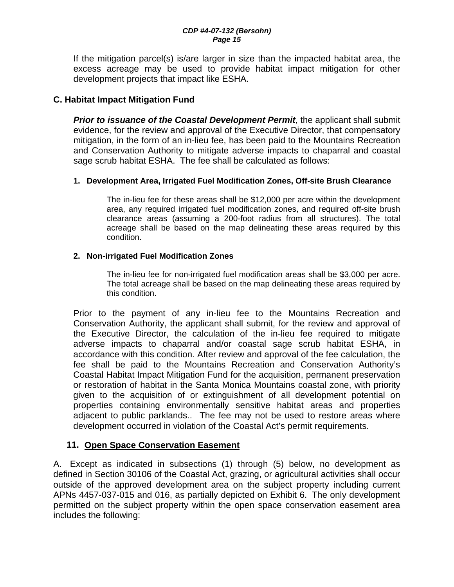If the mitigation parcel(s) is/are larger in size than the impacted habitat area, the excess acreage may be used to provide habitat impact mitigation for other development projects that impact like ESHA.

## **C. Habitat Impact Mitigation Fund**

*Prior to issuance of the Coastal Development Permit*, the applicant shall submit evidence, for the review and approval of the Executive Director, that compensatory mitigation, in the form of an in-lieu fee, has been paid to the Mountains Recreation and Conservation Authority to mitigate adverse impacts to chaparral and coastal sage scrub habitat ESHA. The fee shall be calculated as follows:

#### **1. Development Area, Irrigated Fuel Modification Zones, Off-site Brush Clearance**

The in-lieu fee for these areas shall be \$12,000 per acre within the development area, any required irrigated fuel modification zones, and required off-site brush clearance areas (assuming a 200-foot radius from all structures). The total acreage shall be based on the map delineating these areas required by this condition.

#### **2. Non-irrigated Fuel Modification Zones**

The in-lieu fee for non-irrigated fuel modification areas shall be \$3,000 per acre. The total acreage shall be based on the map delineating these areas required by this condition.

Prior to the payment of any in-lieu fee to the Mountains Recreation and Conservation Authority, the applicant shall submit, for the review and approval of the Executive Director, the calculation of the in-lieu fee required to mitigate adverse impacts to chaparral and/or coastal sage scrub habitat ESHA, in accordance with this condition. After review and approval of the fee calculation, the fee shall be paid to the Mountains Recreation and Conservation Authority's Coastal Habitat Impact Mitigation Fund for the acquisition, permanent preservation or restoration of habitat in the Santa Monica Mountains coastal zone, with priority given to the acquisition of or extinguishment of all development potential on properties containing environmentally sensitive habitat areas and properties adjacent to public parklands.. The fee may not be used to restore areas where development occurred in violation of the Coastal Act's permit requirements.

## **11. Open Space Conservation Easement**

A. Except as indicated in subsections (1) through (5) below, no development as defined in Section 30106 of the Coastal Act, grazing, or agricultural activities shall occur outside of the approved development area on the subject property including current APNs 4457-037-015 and 016, as partially depicted on Exhibit 6. The only development permitted on the subject property within the open space conservation easement area includes the following: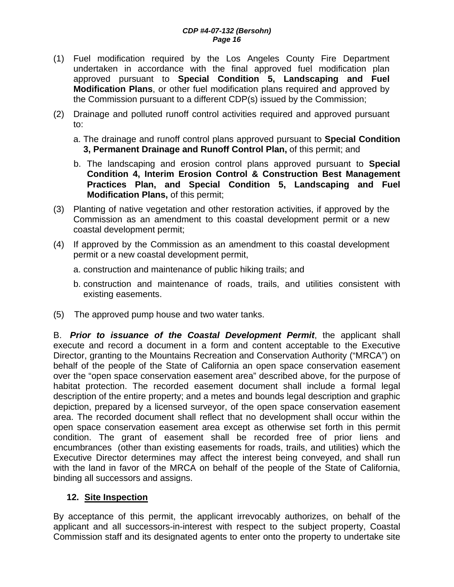- (1) Fuel modification required by the Los Angeles County Fire Department undertaken in accordance with the final approved fuel modification plan approved pursuant to **Special Condition 5, Landscaping and Fuel Modification Plans**, or other fuel modification plans required and approved by the Commission pursuant to a different CDP(s) issued by the Commission;
- (2) Drainage and polluted runoff control activities required and approved pursuant to:
	- a. The drainage and runoff control plans approved pursuant to **Special Condition 3, Permanent Drainage and Runoff Control Plan,** of this permit; and
	- b. The landscaping and erosion control plans approved pursuant to **Special Condition 4, Interim Erosion Control & Construction Best Management Practices Plan, and Special Condition 5, Landscaping and Fuel Modification Plans,** of this permit;
- (3) Planting of native vegetation and other restoration activities, if approved by the Commission as an amendment to this coastal development permit or a new coastal development permit;
- (4) If approved by the Commission as an amendment to this coastal development permit or a new coastal development permit,
	- a. construction and maintenance of public hiking trails; and
	- b. construction and maintenance of roads, trails, and utilities consistent with existing easements.
- (5) The approved pump house and two water tanks.

B. *Prior to issuance of the Coastal Development Permit*, the applicant shall execute and record a document in a form and content acceptable to the Executive Director, granting to the Mountains Recreation and Conservation Authority ("MRCA") on behalf of the people of the State of California an open space conservation easement over the "open space conservation easement area" described above, for the purpose of habitat protection. The recorded easement document shall include a formal legal description of the entire property; and a metes and bounds legal description and graphic depiction, prepared by a licensed surveyor, of the open space conservation easement area. The recorded document shall reflect that no development shall occur within the open space conservation easement area except as otherwise set forth in this permit condition. The grant of easement shall be recorded free of prior liens and encumbrances (other than existing easements for roads, trails, and utilities) which the Executive Director determines may affect the interest being conveyed, and shall run with the land in favor of the MRCA on behalf of the people of the State of California, binding all successors and assigns.

#### **12. Site Inspection**

By acceptance of this permit, the applicant irrevocably authorizes, on behalf of the applicant and all successors-in-interest with respect to the subject property, Coastal Commission staff and its designated agents to enter onto the property to undertake site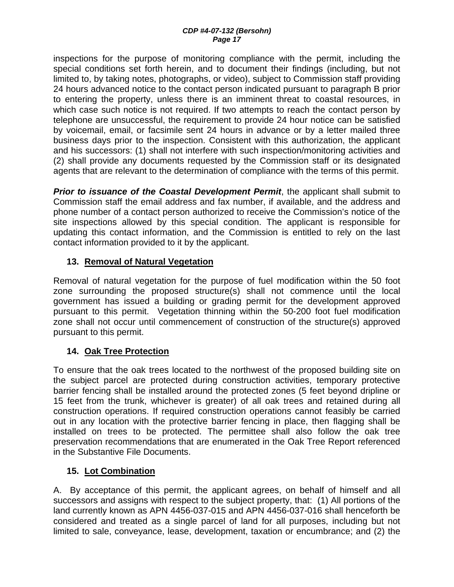inspections for the purpose of monitoring compliance with the permit, including the special conditions set forth herein, and to document their findings (including, but not limited to, by taking notes, photographs, or video), subject to Commission staff providing 24 hours advanced notice to the contact person indicated pursuant to paragraph B prior to entering the property, unless there is an imminent threat to coastal resources, in which case such notice is not required. If two attempts to reach the contact person by telephone are unsuccessful, the requirement to provide 24 hour notice can be satisfied by voicemail, email, or facsimile sent 24 hours in advance or by a letter mailed three business days prior to the inspection. Consistent with this authorization, the applicant and his successors: (1) shall not interfere with such inspection/monitoring activities and (2) shall provide any documents requested by the Commission staff or its designated agents that are relevant to the determination of compliance with the terms of this permit.

**Prior to issuance of the Coastal Development Permit**, the applicant shall submit to Commission staff the email address and fax number, if available, and the address and phone number of a contact person authorized to receive the Commission's notice of the site inspections allowed by this special condition. The applicant is responsible for updating this contact information, and the Commission is entitled to rely on the last contact information provided to it by the applicant.

## **13. Removal of Natural Vegetation**

Removal of natural vegetation for the purpose of fuel modification within the 50 foot zone surrounding the proposed structure(s) shall not commence until the local government has issued a building or grading permit for the development approved pursuant to this permit. Vegetation thinning within the 50-200 foot fuel modification zone shall not occur until commencement of construction of the structure(s) approved pursuant to this permit.

## **14. Oak Tree Protection**

To ensure that the oak trees located to the northwest of the proposed building site on the subject parcel are protected during construction activities, temporary protective barrier fencing shall be installed around the protected zones (5 feet beyond dripline or 15 feet from the trunk, whichever is greater) of all oak trees and retained during all construction operations. If required construction operations cannot feasibly be carried out in any location with the protective barrier fencing in place, then flagging shall be installed on trees to be protected. The permittee shall also follow the oak tree preservation recommendations that are enumerated in the Oak Tree Report referenced in the Substantive File Documents.

## **15. Lot Combination**

A. By acceptance of this permit, the applicant agrees, on behalf of himself and all successors and assigns with respect to the subject property, that: (1) All portions of the land currently known as APN 4456-037-015 and APN 4456-037-016 shall henceforth be considered and treated as a single parcel of land for all purposes, including but not limited to sale, conveyance, lease, development, taxation or encumbrance; and (2) the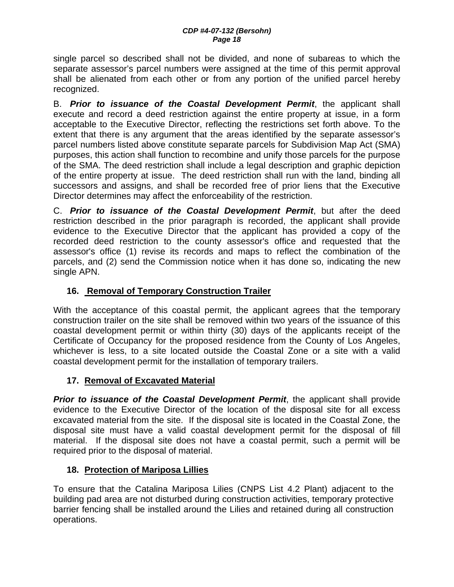single parcel so described shall not be divided, and none of subareas to which the separate assessor's parcel numbers were assigned at the time of this permit approval shall be alienated from each other or from any portion of the unified parcel hereby recognized.

B. *Prior to issuance of the Coastal Development Permit*, the applicant shall execute and record a deed restriction against the entire property at issue, in a form acceptable to the Executive Director, reflecting the restrictions set forth above. To the extent that there is any argument that the areas identified by the separate assessor's parcel numbers listed above constitute separate parcels for Subdivision Map Act (SMA) purposes, this action shall function to recombine and unify those parcels for the purpose of the SMA. The deed restriction shall include a legal description and graphic depiction of the entire property at issue. The deed restriction shall run with the land, binding all successors and assigns, and shall be recorded free of prior liens that the Executive Director determines may affect the enforceability of the restriction.

C. *Prior to issuance of the Coastal Development Permit*, but after the deed restriction described in the prior paragraph is recorded, the applicant shall provide evidence to the Executive Director that the applicant has provided a copy of the recorded deed restriction to the county assessor's office and requested that the assessor's office (1) revise its records and maps to reflect the combination of the parcels, and (2) send the Commission notice when it has done so, indicating the new single APN.

## **16. Removal of Temporary Construction Trailer**

With the acceptance of this coastal permit, the applicant agrees that the temporary construction trailer on the site shall be removed within two years of the issuance of this coastal development permit or within thirty (30) days of the applicants receipt of the Certificate of Occupancy for the proposed residence from the County of Los Angeles, whichever is less, to a site located outside the Coastal Zone or a site with a valid coastal development permit for the installation of temporary trailers.

## **17. Removal of Excavated Material**

**Prior to issuance of the Coastal Development Permit**, the applicant shall provide evidence to the Executive Director of the location of the disposal site for all excess excavated material from the site. If the disposal site is located in the Coastal Zone, the disposal site must have a valid coastal development permit for the disposal of fill material. If the disposal site does not have a coastal permit, such a permit will be required prior to the disposal of material.

## **18. Protection of Mariposa Lillies**

To ensure that the Catalina Mariposa Lilies (CNPS List 4.2 Plant) adjacent to the building pad area are not disturbed during construction activities, temporary protective barrier fencing shall be installed around the Lilies and retained during all construction operations.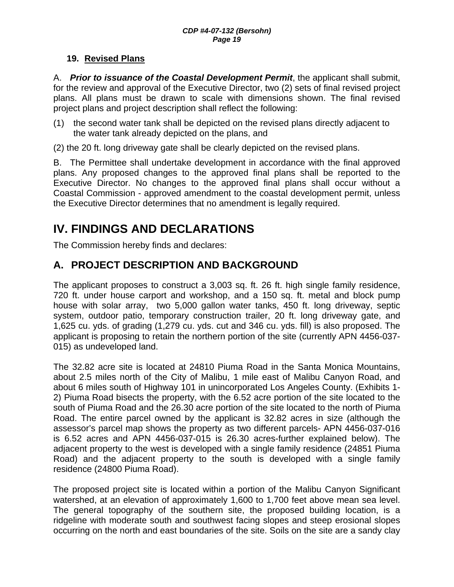## **19. Revised Plans**

A. *Prior to issuance of the Coastal Development Permit*, the applicant shall submit, for the review and approval of the Executive Director, two (2) sets of final revised project plans. All plans must be drawn to scale with dimensions shown. The final revised project plans and project description shall reflect the following:

(1) the second water tank shall be depicted on the revised plans directly adjacent to the water tank already depicted on the plans, and

(2) the 20 ft. long driveway gate shall be clearly depicted on the revised plans.

B. The Permittee shall undertake development in accordance with the final approved plans. Any proposed changes to the approved final plans shall be reported to the Executive Director. No changes to the approved final plans shall occur without a Coastal Commission - approved amendment to the coastal development permit, unless the Executive Director determines that no amendment is legally required.

# **IV. FINDINGS AND DECLARATIONS**

The Commission hereby finds and declares:

# **A. PROJECT DESCRIPTION AND BACKGROUND**

The applicant proposes to construct a 3,003 sq. ft. 26 ft. high single family residence, 720 ft. under house carport and workshop, and a 150 sq. ft. metal and block pump house with solar array, two 5,000 gallon water tanks, 450 ft. long driveway, septic system, outdoor patio, temporary construction trailer, 20 ft. long driveway gate, and 1,625 cu. yds. of grading (1,279 cu. yds. cut and 346 cu. yds. fill) is also proposed. The applicant is proposing to retain the northern portion of the site (currently APN 4456-037- 015) as undeveloped land.

The 32.82 acre site is located at 24810 Piuma Road in the Santa Monica Mountains, about 2.5 miles north of the City of Malibu, 1 mile east of Malibu Canyon Road, and about 6 miles south of Highway 101 in unincorporated Los Angeles County. (Exhibits 1- 2) Piuma Road bisects the property, with the 6.52 acre portion of the site located to the south of Piuma Road and the 26.30 acre portion of the site located to the north of Piuma Road. The entire parcel owned by the applicant is 32.82 acres in size (although the assessor's parcel map shows the property as two different parcels- APN 4456-037-016 is 6.52 acres and APN 4456-037-015 is 26.30 acres-further explained below). The adjacent property to the west is developed with a single family residence (24851 Piuma Road) and the adjacent property to the south is developed with a single family residence (24800 Piuma Road).

The proposed project site is located within a portion of the Malibu Canyon Significant watershed, at an elevation of approximately 1,600 to 1,700 feet above mean sea level. The general topography of the southern site, the proposed building location, is a ridgeline with moderate south and southwest facing slopes and steep erosional slopes occurring on the north and east boundaries of the site. Soils on the site are a sandy clay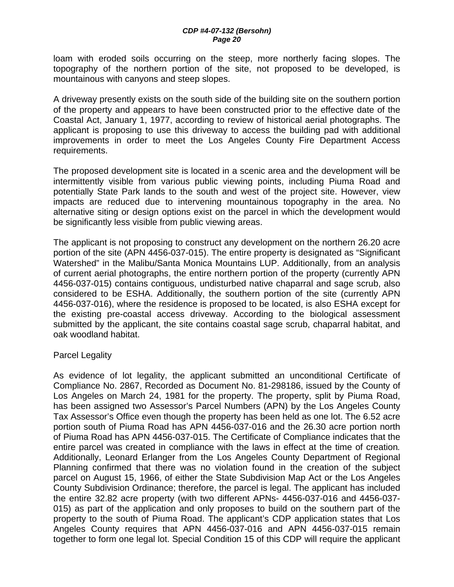loam with eroded soils occurring on the steep, more northerly facing slopes. The topography of the northern portion of the site, not proposed to be developed, is mountainous with canyons and steep slopes.

A driveway presently exists on the south side of the building site on the southern portion of the property and appears to have been constructed prior to the effective date of the Coastal Act, January 1, 1977, according to review of historical aerial photographs. The applicant is proposing to use this driveway to access the building pad with additional improvements in order to meet the Los Angeles County Fire Department Access requirements.

The proposed development site is located in a scenic area and the development will be intermittently visible from various public viewing points, including Piuma Road and potentially State Park lands to the south and west of the project site. However, view impacts are reduced due to intervening mountainous topography in the area. No alternative siting or design options exist on the parcel in which the development would be significantly less visible from public viewing areas.

The applicant is not proposing to construct any development on the northern 26.20 acre portion of the site (APN 4456-037-015). The entire property is designated as "Significant Watershed" in the Malibu/Santa Monica Mountains LUP. Additionally, from an analysis of current aerial photographs, the entire northern portion of the property (currently APN 4456-037-015) contains contiguous, undisturbed native chaparral and sage scrub, also considered to be ESHA. Additionally, the southern portion of the site (currently APN 4456-037-016), where the residence is proposed to be located, is also ESHA except for the existing pre-coastal access driveway. According to the biological assessment submitted by the applicant, the site contains coastal sage scrub, chaparral habitat, and oak woodland habitat.

#### Parcel Legality

As evidence of lot legality, the applicant submitted an unconditional Certificate of Compliance No. 2867, Recorded as Document No. 81-298186, issued by the County of Los Angeles on March 24, 1981 for the property. The property, split by Piuma Road, has been assigned two Assessor's Parcel Numbers (APN) by the Los Angeles County Tax Assessor's Office even though the property has been held as one lot. The 6.52 acre portion south of Piuma Road has APN 4456-037-016 and the 26.30 acre portion north of Piuma Road has APN 4456-037-015. The Certificate of Compliance indicates that the entire parcel was created in compliance with the laws in effect at the time of creation*.* Additionally, Leonard Erlanger from the Los Angeles County Department of Regional Planning confirmed that there was no violation found in the creation of the subject parcel on August 15, 1966, of either the State Subdivision Map Act or the Los Angeles County Subdivision Ordinance; therefore, the parcel is legal. The applicant has included the entire 32.82 acre property (with two different APNs- 4456-037-016 and 4456-037- 015) as part of the application and only proposes to build on the southern part of the property to the south of Piuma Road. The applicant's CDP application states that Los Angeles County requires that APN 4456-037-016 and APN 4456-037-015 remain together to form one legal lot. Special Condition 15 of this CDP will require the applicant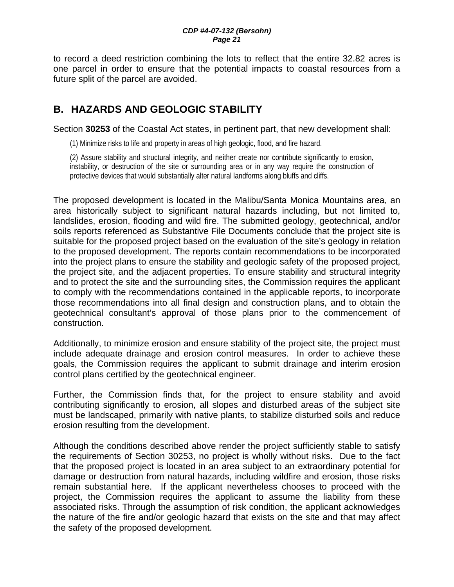to record a deed restriction combining the lots to reflect that the entire 32.82 acres is one parcel in order to ensure that the potential impacts to coastal resources from a future split of the parcel are avoided.

# **B. HAZARDS AND GEOLOGIC STABILITY**

Section **30253** of the Coastal Act states, in pertinent part, that new development shall:

(1) Minimize risks to life and property in areas of high geologic, flood, and fire hazard.

(2) Assure stability and structural integrity, and neither create nor contribute significantly to erosion, instability, or destruction of the site or surrounding area or in any way require the construction of protective devices that would substantially alter natural landforms along bluffs and cliffs.

The proposed development is located in the Malibu/Santa Monica Mountains area, an area historically subject to significant natural hazards including, but not limited to, landslides, erosion, flooding and wild fire. The submitted geology, geotechnical, and/or soils reports referenced as Substantive File Documents conclude that the project site is suitable for the proposed project based on the evaluation of the site's geology in relation to the proposed development. The reports contain recommendations to be incorporated into the project plans to ensure the stability and geologic safety of the proposed project, the project site, and the adjacent properties. To ensure stability and structural integrity and to protect the site and the surrounding sites, the Commission requires the applicant to comply with the recommendations contained in the applicable reports, to incorporate those recommendations into all final design and construction plans, and to obtain the geotechnical consultant's approval of those plans prior to the commencement of construction.

Additionally, to minimize erosion and ensure stability of the project site, the project must include adequate drainage and erosion control measures. In order to achieve these goals, the Commission requires the applicant to submit drainage and interim erosion control plans certified by the geotechnical engineer.

Further, the Commission finds that, for the project to ensure stability and avoid contributing significantly to erosion, all slopes and disturbed areas of the subject site must be landscaped, primarily with native plants, to stabilize disturbed soils and reduce erosion resulting from the development.

Although the conditions described above render the project sufficiently stable to satisfy the requirements of Section 30253, no project is wholly without risks. Due to the fact that the proposed project is located in an area subject to an extraordinary potential for damage or destruction from natural hazards, including wildfire and erosion, those risks remain substantial here. If the applicant nevertheless chooses to proceed with the project, the Commission requires the applicant to assume the liability from these associated risks. Through the assumption of risk condition, the applicant acknowledges the nature of the fire and/or geologic hazard that exists on the site and that may affect the safety of the proposed development.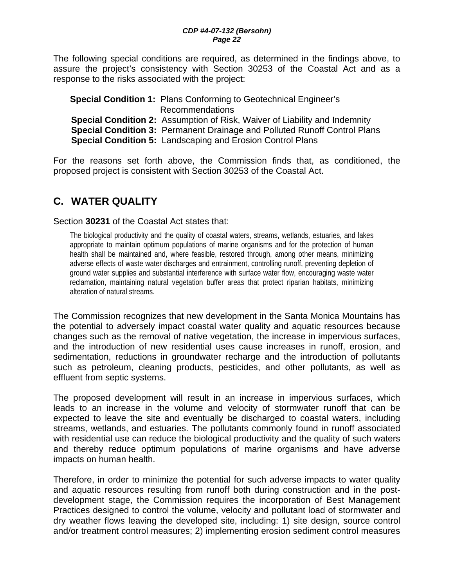The following special conditions are required, as determined in the findings above, to assure the project's consistency with Section 30253 of the Coastal Act and as a response to the risks associated with the project:

**Special Condition 1:** Plans Conforming to Geotechnical Engineer's Recommendations **Special Condition 2:** Assumption of Risk, Waiver of Liability and Indemnity **Special Condition 3:** Permanent Drainage and Polluted Runoff Control Plans **Special Condition 5:** Landscaping and Erosion Control Plans

For the reasons set forth above, the Commission finds that, as conditioned, the proposed project is consistent with Section 30253 of the Coastal Act.

# **C. WATER QUALITY**

Section **30231** of the Coastal Act states that:

The biological productivity and the quality of coastal waters, streams, wetlands, estuaries, and lakes appropriate to maintain optimum populations of marine organisms and for the protection of human health shall be maintained and, where feasible, restored through, among other means, minimizing adverse effects of waste water discharges and entrainment, controlling runoff, preventing depletion of ground water supplies and substantial interference with surface water flow, encouraging waste water reclamation, maintaining natural vegetation buffer areas that protect riparian habitats, minimizing alteration of natural streams.

The Commission recognizes that new development in the Santa Monica Mountains has the potential to adversely impact coastal water quality and aquatic resources because changes such as the removal of native vegetation, the increase in impervious surfaces, and the introduction of new residential uses cause increases in runoff, erosion, and sedimentation, reductions in groundwater recharge and the introduction of pollutants such as petroleum, cleaning products, pesticides, and other pollutants, as well as effluent from septic systems.

The proposed development will result in an increase in impervious surfaces, which leads to an increase in the volume and velocity of stormwater runoff that can be expected to leave the site and eventually be discharged to coastal waters, including streams, wetlands, and estuaries. The pollutants commonly found in runoff associated with residential use can reduce the biological productivity and the quality of such waters and thereby reduce optimum populations of marine organisms and have adverse impacts on human health.

Therefore, in order to minimize the potential for such adverse impacts to water quality and aquatic resources resulting from runoff both during construction and in the postdevelopment stage, the Commission requires the incorporation of Best Management Practices designed to control the volume, velocity and pollutant load of stormwater and dry weather flows leaving the developed site, including: 1) site design, source control and/or treatment control measures; 2) implementing erosion sediment control measures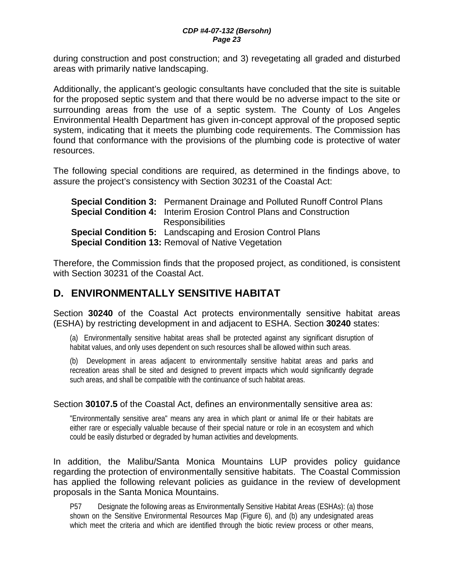during construction and post construction; and 3) revegetating all graded and disturbed areas with primarily native landscaping.

Additionally, the applicant's geologic consultants have concluded that the site is suitable for the proposed septic system and that there would be no adverse impact to the site or surrounding areas from the use of a septic system. The County of Los Angeles Environmental Health Department has given in-concept approval of the proposed septic system, indicating that it meets the plumbing code requirements. The Commission has found that conformance with the provisions of the plumbing code is protective of water resources.

The following special conditions are required, as determined in the findings above, to assure the project's consistency with Section 30231 of the Coastal Act:

| <b>Special Condition 3:</b> Permanent Drainage and Polluted Runoff Control Plans |
|----------------------------------------------------------------------------------|
| <b>Special Condition 4:</b> Interim Erosion Control Plans and Construction       |
| <b>Responsibilities</b>                                                          |
| <b>Special Condition 5:</b> Landscaping and Erosion Control Plans                |
| <b>Special Condition 13: Removal of Native Vegetation</b>                        |

Therefore, the Commission finds that the proposed project, as conditioned, is consistent with Section 30231 of the Coastal Act.

# **D. ENVIRONMENTALLY SENSITIVE HABITAT**

Section **30240** of the Coastal Act protects environmentally sensitive habitat areas (ESHA) by restricting development in and adjacent to ESHA. Section **30240** states:

(a) Environmentally sensitive habitat areas shall be protected against any significant disruption of habitat values, and only uses dependent on such resources shall be allowed within such areas.

(b) Development in areas adjacent to environmentally sensitive habitat areas and parks and recreation areas shall be sited and designed to prevent impacts which would significantly degrade such areas, and shall be compatible with the continuance of such habitat areas.

#### Section **30107.5** of the Coastal Act, defines an environmentally sensitive area as:

"Environmentally sensitive area" means any area in which plant or animal life or their habitats are either rare or especially valuable because of their special nature or role in an ecosystem and which could be easily disturbed or degraded by human activities and developments.

In addition, the Malibu/Santa Monica Mountains LUP provides policy guidance regarding the protection of environmentally sensitive habitats. The Coastal Commission has applied the following relevant policies as guidance in the review of development proposals in the Santa Monica Mountains.

P57 Designate the following areas as Environmentally Sensitive Habitat Areas (ESHAs): (a) those shown on the Sensitive Environmental Resources Map (Figure 6), and (b) any undesignated areas which meet the criteria and which are identified through the biotic review process or other means,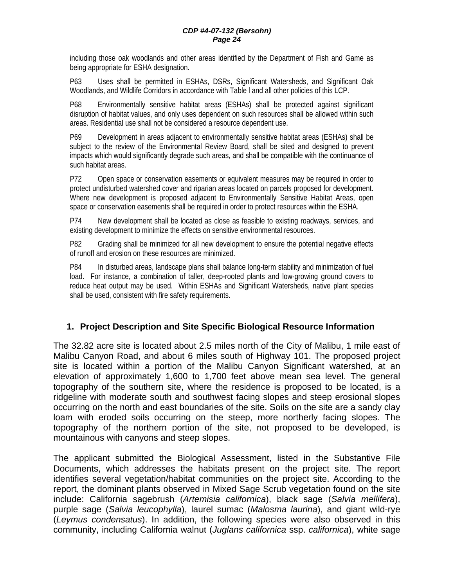including those oak woodlands and other areas identified by the Department of Fish and Game as being appropriate for ESHA designation.

P63 Uses shall be permitted in ESHAs, DSRs, Significant Watersheds, and Significant Oak Woodlands, and Wildlife Corridors in accordance with Table l and all other policies of this LCP.

P68 Environmentally sensitive habitat areas (ESHAs) shall be protected against significant disruption of habitat values, and only uses dependent on such resources shall be allowed within such areas. Residential use shall not be considered a resource dependent use.

P69 Development in areas adjacent to environmentally sensitive habitat areas (ESHAs) shall be subject to the review of the Environmental Review Board, shall be sited and designed to prevent impacts which would significantly degrade such areas, and shall be compatible with the continuance of such habitat areas.

P72 Open space or conservation easements or equivalent measures may be required in order to protect undisturbed watershed cover and riparian areas located on parcels proposed for development. Where new development is proposed adjacent to Environmentally Sensitive Habitat Areas, open space or conservation easements shall be required in order to protect resources within the ESHA.

P74 New development shall be located as close as feasible to existing roadways, services, and existing development to minimize the effects on sensitive environmental resources.

P82 Grading shall be minimized for all new development to ensure the potential negative effects of runoff and erosion on these resources are minimized.

P84 In disturbed areas, landscape plans shall balance long-term stability and minimization of fuel load. For instance, a combination of taller, deep-rooted plants and low-growing ground covers to reduce heat output may be used. Within ESHAs and Significant Watersheds, native plant species shall be used, consistent with fire safety requirements.

#### **1. Project Description and Site Specific Biological Resource Information**

The 32.82 acre site is located about 2.5 miles north of the City of Malibu, 1 mile east of Malibu Canyon Road, and about 6 miles south of Highway 101. The proposed project site is located within a portion of the Malibu Canyon Significant watershed, at an elevation of approximately 1,600 to 1,700 feet above mean sea level. The general topography of the southern site, where the residence is proposed to be located, is a ridgeline with moderate south and southwest facing slopes and steep erosional slopes occurring on the north and east boundaries of the site. Soils on the site are a sandy clay loam with eroded soils occurring on the steep, more northerly facing slopes. The topography of the northern portion of the site, not proposed to be developed, is mountainous with canyons and steep slopes.

The applicant submitted the Biological Assessment, listed in the Substantive File Documents, which addresses the habitats present on the project site. The report identifies several vegetation/habitat communities on the project site. According to the report, the dominant plants observed in Mixed Sage Scrub vegetation found on the site include: California sagebrush (*Artemisia californica*), black sage (*Salvia mellifera*), purple sage (*Salvia leucophylla*), laurel sumac (*Malosma laurina*), and giant wild-rye (*Leymus condensatus*). In addition, the following species were also observed in this community, including California walnut (*Juglans californica* ssp. *californica*), white sage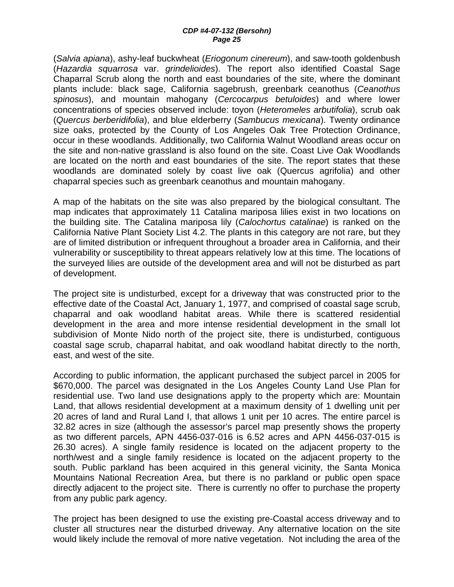(*Salvia apiana*), ashy-leaf buckwheat (*Eriogonum cinereum*), and saw-tooth goldenbush (*Hazardia squarrosa* var. *grindelioides*). The report also identified Coastal Sage Chaparral Scrub along the north and east boundaries of the site, where the dominant plants include: black sage, California sagebrush, greenbark ceanothus (*Ceanothus spinosus*), and mountain mahogany (*Cercocarpus betuloides*) and where lower concentrations of species observed include: toyon (*Heteromeles arbutifolia*), scrub oak (*Quercus berberidifolia*), and blue elderberry (*Sambucus mexicana*). Twenty ordinance size oaks, protected by the County of Los Angeles Oak Tree Protection Ordinance, occur in these woodlands. Additionally, two California Walnut Woodland areas occur on the site and non-native grassland is also found on the site. Coast Live Oak Woodlands are located on the north and east boundaries of the site. The report states that these woodlands are dominated solely by coast live oak (Quercus agrifolia) and other chaparral species such as greenbark ceanothus and mountain mahogany.

A map of the habitats on the site was also prepared by the biological consultant. The map indicates that approximately 11 Catalina mariposa lilies exist in two locations on the building site. The Catalina mariposa lily (*Calochortus catalinae*) is ranked on the California Native Plant Society List 4.2. The plants in this category are not rare, but they are of limited distribution or infrequent throughout a broader area in California, and their vulnerability or susceptibility to threat appears relatively low at this time. The locations of the surveyed lilies are outside of the development area and will not be disturbed as part of development.

The project site is undisturbed, except for a driveway that was constructed prior to the effective date of the Coastal Act, January 1, 1977, and comprised of coastal sage scrub, chaparral and oak woodland habitat areas. While there is scattered residential development in the area and more intense residential development in the small lot subdivision of Monte Nido north of the project site, there is undisturbed, contiguous coastal sage scrub, chaparral habitat, and oak woodland habitat directly to the north, east, and west of the site.

According to public information, the applicant purchased the subject parcel in 2005 for \$670,000. The parcel was designated in the Los Angeles County Land Use Plan for residential use. Two land use designations apply to the property which are: Mountain Land, that allows residential development at a maximum density of 1 dwelling unit per 20 acres of land and Rural Land I, that allows 1 unit per 10 acres. The entire parcel is 32.82 acres in size (although the assessor's parcel map presently shows the property as two different parcels, APN 4456-037-016 is 6.52 acres and APN 4456-037-015 is 26.30 acres). A single family residence is located on the adjacent property to the north/west and a single family residence is located on the adjacent property to the south. Public parkland has been acquired in this general vicinity, the Santa Monica Mountains National Recreation Area, but there is no parkland or public open space directly adjacent to the project site. There is currently no offer to purchase the property from any public park agency.

The project has been designed to use the existing pre-Coastal access driveway and to cluster all structures near the disturbed driveway. Any alternative location on the site would likely include the removal of more native vegetation. Not including the area of the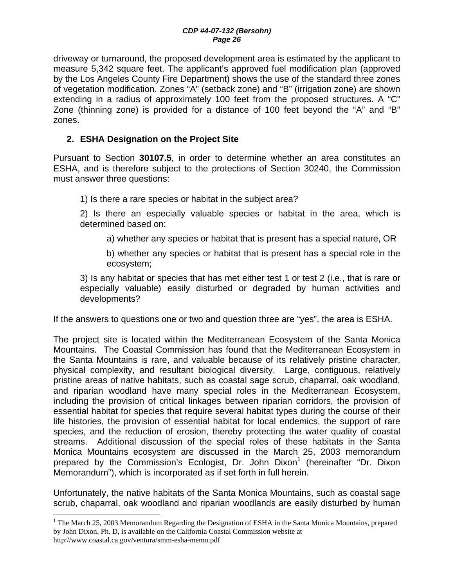driveway or turnaround, the proposed development area is estimated by the applicant to measure 5,342 square feet. The applicant's approved fuel modification plan (approved by the Los Angeles County Fire Department) shows the use of the standard three zones of vegetation modification. Zones "A" (setback zone) and "B" (irrigation zone) are shown extending in a radius of approximately 100 feet from the proposed structures. A "C" Zone (thinning zone) is provided for a distance of 100 feet beyond the "A" and "B" zones.

## **2. ESHA Designation on the Project Site**

 $\overline{a}$ 

Pursuant to Section **30107.5**, in order to determine whether an area constitutes an ESHA, and is therefore subject to the protections of Section 30240, the Commission must answer three questions:

1) Is there a rare species or habitat in the subject area?

2) Is there an especially valuable species or habitat in the area, which is determined based on:

a) whether any species or habitat that is present has a special nature, OR

b) whether any species or habitat that is present has a special role in the ecosystem;

3) Is any habitat or species that has met either test 1 or test 2 (i.e., that is rare or especially valuable) easily disturbed or degraded by human activities and developments?

If the answers to questions one or two and question three are "yes", the area is ESHA.

The project site is located within the Mediterranean Ecosystem of the Santa Monica Mountains. The Coastal Commission has found that the Mediterranean Ecosystem in the Santa Mountains is rare, and valuable because of its relatively pristine character, physical complexity, and resultant biological diversity. Large, contiguous, relatively pristine areas of native habitats, such as coastal sage scrub, chaparral, oak woodland, and riparian woodland have many special roles in the Mediterranean Ecosystem, including the provision of critical linkages between riparian corridors, the provision of essential habitat for species that require several habitat types during the course of their life histories, the provision of essential habitat for local endemics, the support of rare species, and the reduction of erosion, thereby protecting the water quality of coastal streams. Additional discussion of the special roles of these habitats in the Santa Monica Mountains ecosystem are discussed in the March 25, 2003 memorandum prepared by the Commission's Ecologist, Dr. John Dixon<sup>1</sup> (hereinafter "Dr. Dixon Memorandum"), which is incorporated as if set forth in full herein.

Unfortunately, the native habitats of the Santa Monica Mountains, such as coastal sage scrub, chaparral, oak woodland and riparian woodlands are easily disturbed by human

<sup>&</sup>lt;sup>1</sup> The March 25, 2003 Memorandum Regarding the Designation of ESHA in the Santa Monica Mountains, prepared by John Dixon, Ph. D, is available on the California Coastal Commission website at http://www.coastal.ca.gov/ventura/smm-esha-memo.pdf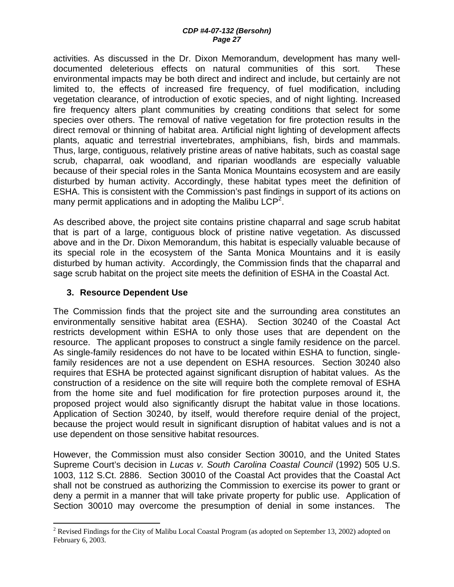activities. As discussed in the Dr. Dixon Memorandum, development has many welldocumented deleterious effects on natural communities of this sort. These environmental impacts may be both direct and indirect and include, but certainly are not limited to, the effects of increased fire frequency, of fuel modification, including vegetation clearance, of introduction of exotic species, and of night lighting. Increased fire frequency alters plant communities by creating conditions that select for some species over others. The removal of native vegetation for fire protection results in the direct removal or thinning of habitat area. Artificial night lighting of development affects plants, aquatic and terrestrial invertebrates, amphibians, fish, birds and mammals. Thus, large, contiguous, relatively pristine areas of native habitats, such as coastal sage scrub, chaparral, oak woodland, and riparian woodlands are especially valuable because of their special roles in the Santa Monica Mountains ecosystem and are easily disturbed by human activity. Accordingly, these habitat types meet the definition of ESHA. This is consistent with the Commission's past findings in support of its actions on many permit applications and in adopting the Malibu LCP<sup>2</sup>.

As described above, the project site contains pristine chaparral and sage scrub habitat that is part of a large, contiguous block of pristine native vegetation. As discussed above and in the Dr. Dixon Memorandum, this habitat is especially valuable because of its special role in the ecosystem of the Santa Monica Mountains and it is easily disturbed by human activity. Accordingly, the Commission finds that the chaparral and sage scrub habitat on the project site meets the definition of ESHA in the Coastal Act.

#### **3. Resource Dependent Use**

1

The Commission finds that the project site and the surrounding area constitutes an environmentally sensitive habitat area (ESHA). Section 30240 of the Coastal Act restricts development within ESHA to only those uses that are dependent on the resource. The applicant proposes to construct a single family residence on the parcel. As single-family residences do not have to be located within ESHA to function, singlefamily residences are not a use dependent on ESHA resources. Section 30240 also requires that ESHA be protected against significant disruption of habitat values. As the construction of a residence on the site will require both the complete removal of ESHA from the home site and fuel modification for fire protection purposes around it, the proposed project would also significantly disrupt the habitat value in those locations. Application of Section 30240, by itself, would therefore require denial of the project, because the project would result in significant disruption of habitat values and is not a use dependent on those sensitive habitat resources.

However, the Commission must also consider Section 30010, and the United States Supreme Court's decision in *Lucas v. South Carolina Coastal Council* (1992) 505 U.S. 1003, 112 S.Ct. 2886. Section 30010 of the Coastal Act provides that the Coastal Act shall not be construed as authorizing the Commission to exercise its power to grant or deny a permit in a manner that will take private property for public use. Application of Section 30010 may overcome the presumption of denial in some instances. The

<sup>&</sup>lt;sup>2</sup> Revised Findings for the City of Malibu Local Coastal Program (as adopted on September 13, 2002) adopted on February 6, 2003.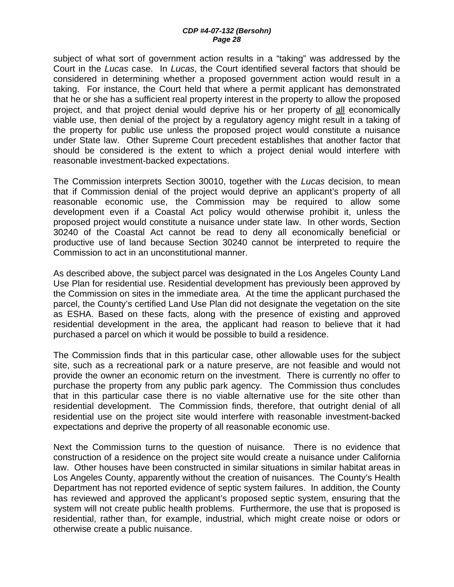subject of what sort of government action results in a "taking" was addressed by the Court in the *Lucas* case. In *Lucas*, the Court identified several factors that should be considered in determining whether a proposed government action would result in a taking. For instance, the Court held that where a permit applicant has demonstrated that he or she has a sufficient real property interest in the property to allow the proposed project, and that project denial would deprive his or her property of all economically viable use, then denial of the project by a regulatory agency might result in a taking of the property for public use unless the proposed project would constitute a nuisance under State law. Other Supreme Court precedent establishes that another factor that should be considered is the extent to which a project denial would interfere with reasonable investment-backed expectations.

The Commission interprets Section 30010, together with the *Lucas* decision, to mean that if Commission denial of the project would deprive an applicant's property of all reasonable economic use, the Commission may be required to allow some development even if a Coastal Act policy would otherwise prohibit it, unless the proposed project would constitute a nuisance under state law. In other words, Section 30240 of the Coastal Act cannot be read to deny all economically beneficial or productive use of land because Section 30240 cannot be interpreted to require the Commission to act in an unconstitutional manner.

As described above, the subject parcel was designated in the Los Angeles County Land Use Plan for residential use. Residential development has previously been approved by the Commission on sites in the immediate area. At the time the applicant purchased the parcel, the County's certified Land Use Plan did not designate the vegetation on the site as ESHA. Based on these facts, along with the presence of existing and approved residential development in the area, the applicant had reason to believe that it had purchased a parcel on which it would be possible to build a residence.

The Commission finds that in this particular case, other allowable uses for the subject site, such as a recreational park or a nature preserve, are not feasible and would not provide the owner an economic return on the investment. There is currently no offer to purchase the property from any public park agency. The Commission thus concludes that in this particular case there is no viable alternative use for the site other than residential development. The Commission finds, therefore, that outright denial of all residential use on the project site would interfere with reasonable investment-backed expectations and deprive the property of all reasonable economic use.

Next the Commission turns to the question of nuisance. There is no evidence that construction of a residence on the project site would create a nuisance under California law. Other houses have been constructed in similar situations in similar habitat areas in Los Angeles County, apparently without the creation of nuisances. The County's Health Department has not reported evidence of septic system failures. In addition, the County has reviewed and approved the applicant's proposed septic system, ensuring that the system will not create public health problems. Furthermore, the use that is proposed is residential, rather than, for example, industrial, which might create noise or odors or otherwise create a public nuisance.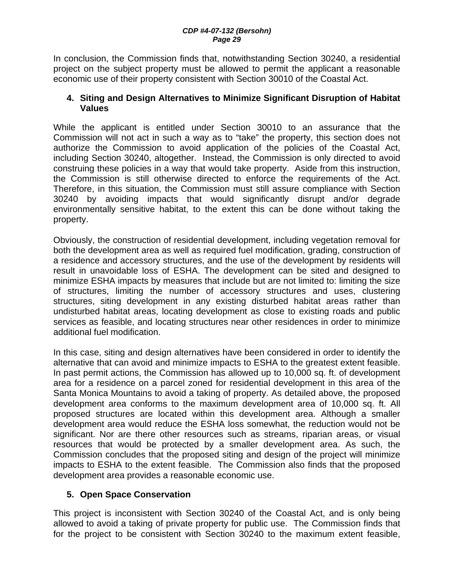In conclusion, the Commission finds that, notwithstanding Section 30240, a residential project on the subject property must be allowed to permit the applicant a reasonable economic use of their property consistent with Section 30010 of the Coastal Act.

#### **4. Siting and Design Alternatives to Minimize Significant Disruption of Habitat Values**

While the applicant is entitled under Section 30010 to an assurance that the Commission will not act in such a way as to "take" the property, this section does not authorize the Commission to avoid application of the policies of the Coastal Act, including Section 30240, altogether. Instead, the Commission is only directed to avoid construing these policies in a way that would take property. Aside from this instruction, the Commission is still otherwise directed to enforce the requirements of the Act. Therefore, in this situation, the Commission must still assure compliance with Section 30240 by avoiding impacts that would significantly disrupt and/or degrade environmentally sensitive habitat, to the extent this can be done without taking the property.

Obviously, the construction of residential development, including vegetation removal for both the development area as well as required fuel modification, grading, construction of a residence and accessory structures, and the use of the development by residents will result in unavoidable loss of ESHA. The development can be sited and designed to minimize ESHA impacts by measures that include but are not limited to: limiting the size of structures, limiting the number of accessory structures and uses, clustering structures, siting development in any existing disturbed habitat areas rather than undisturbed habitat areas, locating development as close to existing roads and public services as feasible, and locating structures near other residences in order to minimize additional fuel modification.

In this case, siting and design alternatives have been considered in order to identify the alternative that can avoid and minimize impacts to ESHA to the greatest extent feasible. In past permit actions, the Commission has allowed up to 10,000 sq. ft. of development area for a residence on a parcel zoned for residential development in this area of the Santa Monica Mountains to avoid a taking of property. As detailed above, the proposed development area conforms to the maximum development area of 10,000 sq. ft. All proposed structures are located within this development area. Although a smaller development area would reduce the ESHA loss somewhat, the reduction would not be significant. Nor are there other resources such as streams, riparian areas, or visual resources that would be protected by a smaller development area. As such, the Commission concludes that the proposed siting and design of the project will minimize impacts to ESHA to the extent feasible. The Commission also finds that the proposed development area provides a reasonable economic use.

## **5. Open Space Conservation**

This project is inconsistent with Section 30240 of the Coastal Act, and is only being allowed to avoid a taking of private property for public use. The Commission finds that for the project to be consistent with Section 30240 to the maximum extent feasible,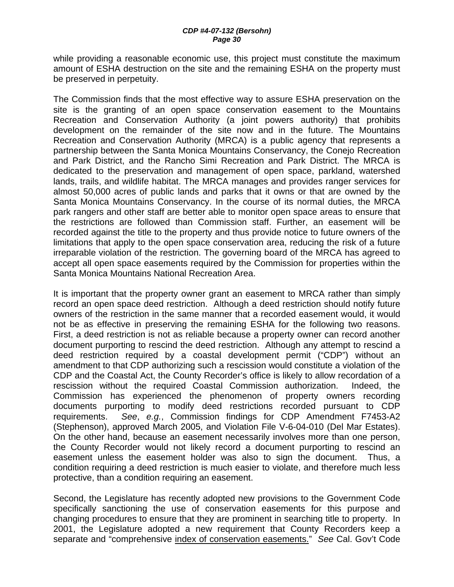while providing a reasonable economic use, this project must constitute the maximum amount of ESHA destruction on the site and the remaining ESHA on the property must be preserved in perpetuity.

The Commission finds that the most effective way to assure ESHA preservation on the site is the granting of an open space conservation easement to the Mountains Recreation and Conservation Authority (a joint powers authority) that prohibits development on the remainder of the site now and in the future. The Mountains Recreation and Conservation Authority (MRCA) is a public agency that represents a partnership between the Santa Monica Mountains Conservancy, the Conejo Recreation and Park District, and the Rancho Simi Recreation and Park District. The MRCA is dedicated to the preservation and management of open space, parkland, watershed lands, trails, and wildlife habitat. The MRCA manages and provides ranger services for almost 50,000 acres of public lands and parks that it owns or that are owned by the Santa Monica Mountains Conservancy. In the course of its normal duties, the MRCA park rangers and other staff are better able to monitor open space areas to ensure that the restrictions are followed than Commission staff. Further, an easement will be recorded against the title to the property and thus provide notice to future owners of the limitations that apply to the open space conservation area, reducing the risk of a future irreparable violation of the restriction. The governing board of the MRCA has agreed to accept all open space easements required by the Commission for properties within the Santa Monica Mountains National Recreation Area.

It is important that the property owner grant an easement to MRCA rather than simply record an open space deed restriction. Although a deed restriction should notify future owners of the restriction in the same manner that a recorded easement would, it would not be as effective in preserving the remaining ESHA for the following two reasons. First, a deed restriction is not as reliable because a property owner can record another document purporting to rescind the deed restriction. Although any attempt to rescind a deed restriction required by a coastal development permit ("CDP") without an amendment to that CDP authorizing such a rescission would constitute a violation of the CDP and the Coastal Act, the County Recorder's office is likely to allow recordation of a rescission without the required Coastal Commission authorization. Indeed, the Commission has experienced the phenomenon of property owners recording documents purporting to modify deed restrictions recorded pursuant to CDP requirements. *See*, *e.g.*, Commission findings for CDP Amendment F7453-A2 (Stephenson), approved March 2005, and Violation File V-6-04-010 (Del Mar Estates). On the other hand, because an easement necessarily involves more than one person, the County Recorder would not likely record a document purporting to rescind an easement unless the easement holder was also to sign the document. Thus, a condition requiring a deed restriction is much easier to violate, and therefore much less protective, than a condition requiring an easement.

Second, the Legislature has recently adopted new provisions to the Government Code specifically sanctioning the use of conservation easements for this purpose and changing procedures to ensure that they are prominent in searching title to property. In 2001, the Legislature adopted a new requirement that County Recorders keep a separate and "comprehensive index of conservation easements." *See* Cal. Gov't Code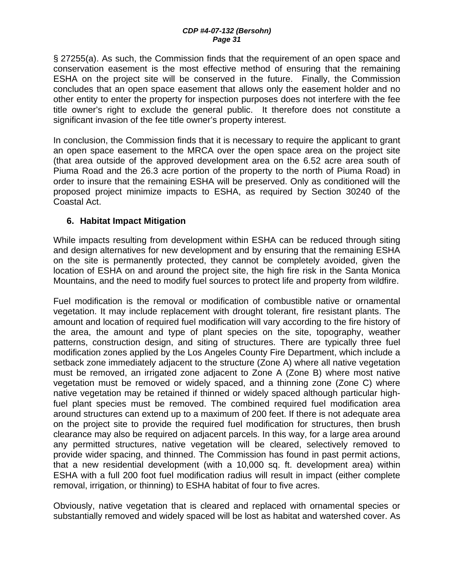§ 27255(a). As such, the Commission finds that the requirement of an open space and conservation easement is the most effective method of ensuring that the remaining ESHA on the project site will be conserved in the future. Finally, the Commission concludes that an open space easement that allows only the easement holder and no other entity to enter the property for inspection purposes does not interfere with the fee title owner's right to exclude the general public. It therefore does not constitute a significant invasion of the fee title owner's property interest.

In conclusion, the Commission finds that it is necessary to require the applicant to grant an open space easement to the MRCA over the open space area on the project site (that area outside of the approved development area on the 6.52 acre area south of Piuma Road and the 26.3 acre portion of the property to the north of Piuma Road) in order to insure that the remaining ESHA will be preserved. Only as conditioned will the proposed project minimize impacts to ESHA, as required by Section 30240 of the Coastal Act.

#### **6. Habitat Impact Mitigation**

While impacts resulting from development within ESHA can be reduced through siting and design alternatives for new development and by ensuring that the remaining ESHA on the site is permanently protected, they cannot be completely avoided, given the location of ESHA on and around the project site, the high fire risk in the Santa Monica Mountains, and the need to modify fuel sources to protect life and property from wildfire.

Fuel modification is the removal or modification of combustible native or ornamental vegetation. It may include replacement with drought tolerant, fire resistant plants. The amount and location of required fuel modification will vary according to the fire history of the area, the amount and type of plant species on the site, topography, weather patterns, construction design, and siting of structures. There are typically three fuel modification zones applied by the Los Angeles County Fire Department, which include a setback zone immediately adjacent to the structure (Zone A) where all native vegetation must be removed, an irrigated zone adjacent to Zone A (Zone B) where most native vegetation must be removed or widely spaced, and a thinning zone (Zone C) where native vegetation may be retained if thinned or widely spaced although particular highfuel plant species must be removed. The combined required fuel modification area around structures can extend up to a maximum of 200 feet. If there is not adequate area on the project site to provide the required fuel modification for structures, then brush clearance may also be required on adjacent parcels. In this way, for a large area around any permitted structures, native vegetation will be cleared, selectively removed to provide wider spacing, and thinned. The Commission has found in past permit actions, that a new residential development (with a 10,000 sq. ft. development area) within ESHA with a full 200 foot fuel modification radius will result in impact (either complete removal, irrigation, or thinning) to ESHA habitat of four to five acres.

Obviously, native vegetation that is cleared and replaced with ornamental species or substantially removed and widely spaced will be lost as habitat and watershed cover. As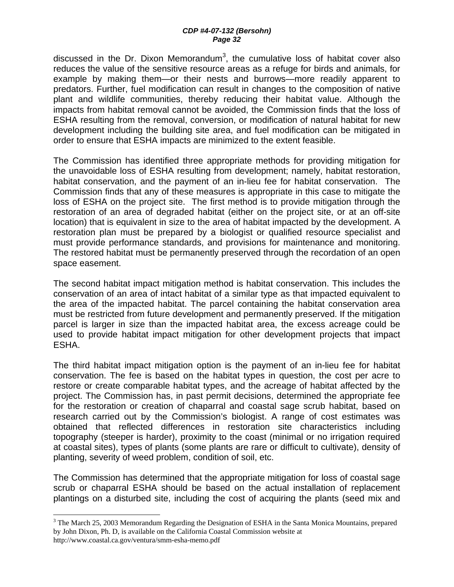discussed in the Dr. Dixon Memorandum<sup>3</sup>, the cumulative loss of habitat cover also reduces the value of the sensitive resource areas as a refuge for birds and animals, for example by making them—or their nests and burrows—more readily apparent to predators. Further, fuel modification can result in changes to the composition of native plant and wildlife communities, thereby reducing their habitat value. Although the impacts from habitat removal cannot be avoided, the Commission finds that the loss of ESHA resulting from the removal, conversion, or modification of natural habitat for new development including the building site area, and fuel modification can be mitigated in order to ensure that ESHA impacts are minimized to the extent feasible.

The Commission has identified three appropriate methods for providing mitigation for the unavoidable loss of ESHA resulting from development; namely, habitat restoration, habitat conservation, and the payment of an in-lieu fee for habitat conservation. The Commission finds that any of these measures is appropriate in this case to mitigate the loss of ESHA on the project site. The first method is to provide mitigation through the restoration of an area of degraded habitat (either on the project site, or at an off-site location) that is equivalent in size to the area of habitat impacted by the development. A restoration plan must be prepared by a biologist or qualified resource specialist and must provide performance standards, and provisions for maintenance and monitoring. The restored habitat must be permanently preserved through the recordation of an open space easement.

The second habitat impact mitigation method is habitat conservation. This includes the conservation of an area of intact habitat of a similar type as that impacted equivalent to the area of the impacted habitat. The parcel containing the habitat conservation area must be restricted from future development and permanently preserved. If the mitigation parcel is larger in size than the impacted habitat area, the excess acreage could be used to provide habitat impact mitigation for other development projects that impact ESHA.

The third habitat impact mitigation option is the payment of an in-lieu fee for habitat conservation. The fee is based on the habitat types in question, the cost per acre to restore or create comparable habitat types, and the acreage of habitat affected by the project. The Commission has, in past permit decisions, determined the appropriate fee for the restoration or creation of chaparral and coastal sage scrub habitat, based on research carried out by the Commission's biologist. A range of cost estimates was obtained that reflected differences in restoration site characteristics including topography (steeper is harder), proximity to the coast (minimal or no irrigation required at coastal sites), types of plants (some plants are rare or difficult to cultivate), density of planting, severity of weed problem, condition of soil, etc.

The Commission has determined that the appropriate mitigation for loss of coastal sage scrub or chaparral ESHA should be based on the actual installation of replacement plantings on a disturbed site, including the cost of acquiring the plants (seed mix and

1

 $3$  The March 25, 2003 Memorandum Regarding the Designation of ESHA in the Santa Monica Mountains, prepared by John Dixon, Ph. D, is available on the California Coastal Commission website at http://www.coastal.ca.gov/ventura/smm-esha-memo.pdf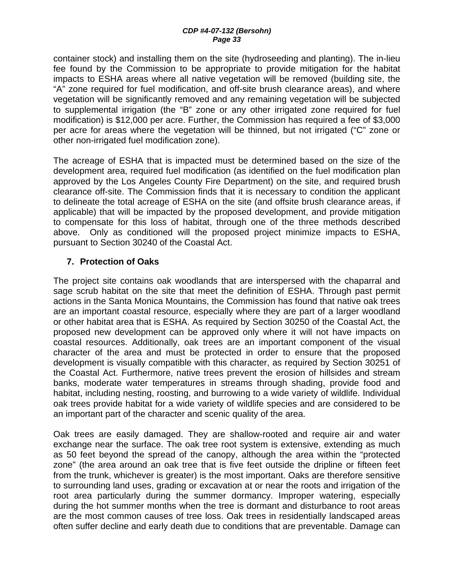container stock) and installing them on the site (hydroseeding and planting). The in-lieu fee found by the Commission to be appropriate to provide mitigation for the habitat impacts to ESHA areas where all native vegetation will be removed (building site, the "A" zone required for fuel modification, and off-site brush clearance areas), and where vegetation will be significantly removed and any remaining vegetation will be subjected to supplemental irrigation (the "B" zone or any other irrigated zone required for fuel modification) is \$12,000 per acre. Further, the Commission has required a fee of \$3,000 per acre for areas where the vegetation will be thinned, but not irrigated ("C" zone or other non-irrigated fuel modification zone).

The acreage of ESHA that is impacted must be determined based on the size of the development area, required fuel modification (as identified on the fuel modification plan approved by the Los Angeles County Fire Department) on the site, and required brush clearance off-site. The Commission finds that it is necessary to condition the applicant to delineate the total acreage of ESHA on the site (and offsite brush clearance areas, if applicable) that will be impacted by the proposed development, and provide mitigation to compensate for this loss of habitat, through one of the three methods described above. Only as conditioned will the proposed project minimize impacts to ESHA, pursuant to Section 30240 of the Coastal Act.

#### **7. Protection of Oaks**

The project site contains oak woodlands that are interspersed with the chaparral and sage scrub habitat on the site that meet the definition of ESHA. Through past permit actions in the Santa Monica Mountains, the Commission has found that native oak trees are an important coastal resource, especially where they are part of a larger woodland or other habitat area that is ESHA. As required by Section 30250 of the Coastal Act, the proposed new development can be approved only where it will not have impacts on coastal resources. Additionally, oak trees are an important component of the visual character of the area and must be protected in order to ensure that the proposed development is visually compatible with this character, as required by Section 30251 of the Coastal Act. Furthermore, native trees prevent the erosion of hillsides and stream banks, moderate water temperatures in streams through shading, provide food and habitat, including nesting, roosting, and burrowing to a wide variety of wildlife. Individual oak trees provide habitat for a wide variety of wildlife species and are considered to be an important part of the character and scenic quality of the area.

Oak trees are easily damaged. They are shallow-rooted and require air and water exchange near the surface. The oak tree root system is extensive, extending as much as 50 feet beyond the spread of the canopy, although the area within the "protected zone" (the area around an oak tree that is five feet outside the dripline or fifteen feet from the trunk, whichever is greater) is the most important. Oaks are therefore sensitive to surrounding land uses, grading or excavation at or near the roots and irrigation of the root area particularly during the summer dormancy. Improper watering, especially during the hot summer months when the tree is dormant and disturbance to root areas are the most common causes of tree loss. Oak trees in residentially landscaped areas often suffer decline and early death due to conditions that are preventable. Damage can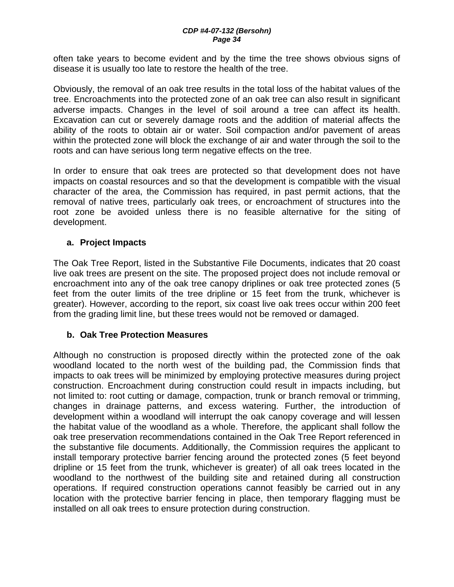often take years to become evident and by the time the tree shows obvious signs of disease it is usually too late to restore the health of the tree.

Obviously, the removal of an oak tree results in the total loss of the habitat values of the tree. Encroachments into the protected zone of an oak tree can also result in significant adverse impacts. Changes in the level of soil around a tree can affect its health. Excavation can cut or severely damage roots and the addition of material affects the ability of the roots to obtain air or water. Soil compaction and/or pavement of areas within the protected zone will block the exchange of air and water through the soil to the roots and can have serious long term negative effects on the tree.

In order to ensure that oak trees are protected so that development does not have impacts on coastal resources and so that the development is compatible with the visual character of the area, the Commission has required, in past permit actions, that the removal of native trees, particularly oak trees, or encroachment of structures into the root zone be avoided unless there is no feasible alternative for the siting of development.

#### **a. Project Impacts**

The Oak Tree Report, listed in the Substantive File Documents, indicates that 20 coast live oak trees are present on the site. The proposed project does not include removal or encroachment into any of the oak tree canopy driplines or oak tree protected zones (5 feet from the outer limits of the tree dripline or 15 feet from the trunk, whichever is greater). However, according to the report, six coast live oak trees occur within 200 feet from the grading limit line, but these trees would not be removed or damaged.

#### **b. Oak Tree Protection Measures**

Although no construction is proposed directly within the protected zone of the oak woodland located to the north west of the building pad, the Commission finds that impacts to oak trees will be minimized by employing protective measures during project construction. Encroachment during construction could result in impacts including, but not limited to: root cutting or damage, compaction, trunk or branch removal or trimming, changes in drainage patterns, and excess watering. Further, the introduction of development within a woodland will interrupt the oak canopy coverage and will lessen the habitat value of the woodland as a whole. Therefore, the applicant shall follow the oak tree preservation recommendations contained in the Oak Tree Report referenced in the substantive file documents. Additionally, the Commission requires the applicant to install temporary protective barrier fencing around the protected zones (5 feet beyond dripline or 15 feet from the trunk, whichever is greater) of all oak trees located in the woodland to the northwest of the building site and retained during all construction operations. If required construction operations cannot feasibly be carried out in any location with the protective barrier fencing in place, then temporary flagging must be installed on all oak trees to ensure protection during construction.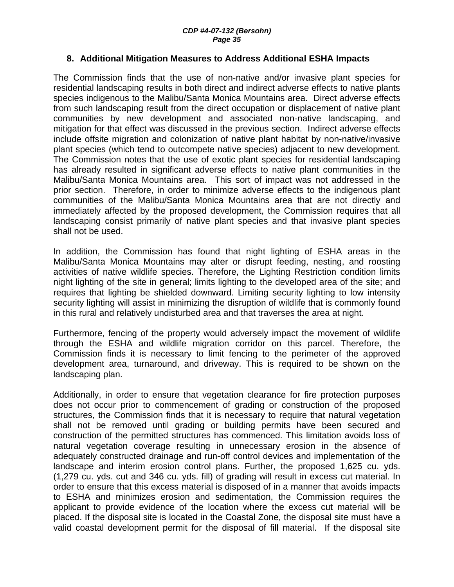#### **8. Additional Mitigation Measures to Address Additional ESHA Impacts**

The Commission finds that the use of non-native and/or invasive plant species for residential landscaping results in both direct and indirect adverse effects to native plants species indigenous to the Malibu/Santa Monica Mountains area. Direct adverse effects from such landscaping result from the direct occupation or displacement of native plant communities by new development and associated non-native landscaping, and mitigation for that effect was discussed in the previous section. Indirect adverse effects include offsite migration and colonization of native plant habitat by non-native/invasive plant species (which tend to outcompete native species) adjacent to new development. The Commission notes that the use of exotic plant species for residential landscaping has already resulted in significant adverse effects to native plant communities in the Malibu/Santa Monica Mountains area. This sort of impact was not addressed in the prior section. Therefore, in order to minimize adverse effects to the indigenous plant communities of the Malibu/Santa Monica Mountains area that are not directly and immediately affected by the proposed development, the Commission requires that all landscaping consist primarily of native plant species and that invasive plant species shall not be used.

In addition, the Commission has found that night lighting of ESHA areas in the Malibu/Santa Monica Mountains may alter or disrupt feeding, nesting, and roosting activities of native wildlife species. Therefore, the Lighting Restriction condition limits night lighting of the site in general; limits lighting to the developed area of the site; and requires that lighting be shielded downward. Limiting security lighting to low intensity security lighting will assist in minimizing the disruption of wildlife that is commonly found in this rural and relatively undisturbed area and that traverses the area at night.

Furthermore, fencing of the property would adversely impact the movement of wildlife through the ESHA and wildlife migration corridor on this parcel. Therefore, the Commission finds it is necessary to limit fencing to the perimeter of the approved development area, turnaround, and driveway. This is required to be shown on the landscaping plan.

Additionally, in order to ensure that vegetation clearance for fire protection purposes does not occur prior to commencement of grading or construction of the proposed structures, the Commission finds that it is necessary to require that natural vegetation shall not be removed until grading or building permits have been secured and construction of the permitted structures has commenced. This limitation avoids loss of natural vegetation coverage resulting in unnecessary erosion in the absence of adequately constructed drainage and run-off control devices and implementation of the landscape and interim erosion control plans. Further, the proposed 1,625 cu. yds. (1,279 cu. yds. cut and 346 cu. yds. fill) of grading will result in excess cut material. In order to ensure that this excess material is disposed of in a manner that avoids impacts to ESHA and minimizes erosion and sedimentation, the Commission requires the applicant to provide evidence of the location where the excess cut material will be placed. If the disposal site is located in the Coastal Zone, the disposal site must have a valid coastal development permit for the disposal of fill material. If the disposal site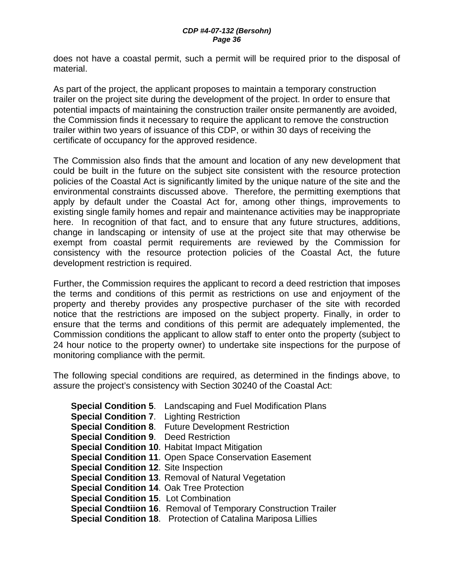does not have a coastal permit, such a permit will be required prior to the disposal of material.

As part of the project, the applicant proposes to maintain a temporary construction trailer on the project site during the development of the project. In order to ensure that potential impacts of maintaining the construction trailer onsite permanently are avoided, the Commission finds it necessary to require the applicant to remove the construction trailer within two years of issuance of this CDP, or within 30 days of receiving the certificate of occupancy for the approved residence.

The Commission also finds that the amount and location of any new development that could be built in the future on the subject site consistent with the resource protection policies of the Coastal Act is significantly limited by the unique nature of the site and the environmental constraints discussed above. Therefore, the permitting exemptions that apply by default under the Coastal Act for, among other things, improvements to existing single family homes and repair and maintenance activities may be inappropriate here. In recognition of that fact, and to ensure that any future structures, additions, change in landscaping or intensity of use at the project site that may otherwise be exempt from coastal permit requirements are reviewed by the Commission for consistency with the resource protection policies of the Coastal Act, the future development restriction is required.

Further, the Commission requires the applicant to record a deed restriction that imposes the terms and conditions of this permit as restrictions on use and enjoyment of the property and thereby provides any prospective purchaser of the site with recorded notice that the restrictions are imposed on the subject property. Finally, in order to ensure that the terms and conditions of this permit are adequately implemented, the Commission conditions the applicant to allow staff to enter onto the property (subject to 24 hour notice to the property owner) to undertake site inspections for the purpose of monitoring compliance with the permit.

The following special conditions are required, as determined in the findings above, to assure the project's consistency with Section 30240 of the Coastal Act:

**Special Condition 5**. Landscaping and Fuel Modification Plans **Special Condition 7**. Lighting Restriction **Special Condition 8**. Future Development Restriction **Special Condition 9**. Deed Restriction **Special Condition 10**. Habitat Impact Mitigation **Special Condition 11**. Open Space Conservation Easement **Special Condition 12**. Site Inspection **Special Condition 13**. Removal of Natural Vegetation **Special Condition 14**. Oak Tree Protection **Special Condition 15**. Lot Combination **Special Condtiion 16**. Removal of Temporary Construction Trailer **Special Condition 18**. Protection of Catalina Mariposa Lillies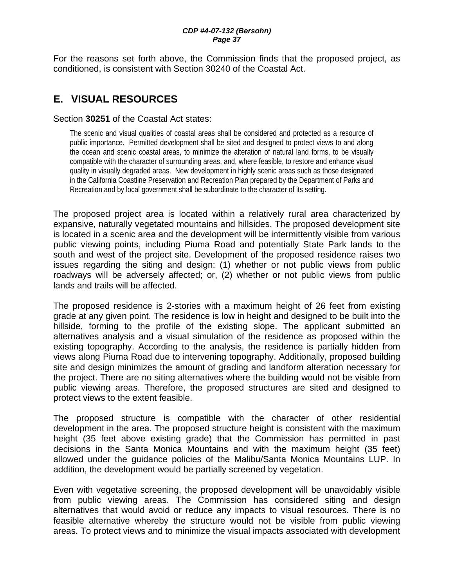For the reasons set forth above, the Commission finds that the proposed project, as conditioned, is consistent with Section 30240 of the Coastal Act.

# **E. VISUAL RESOURCES**

#### Section **30251** of the Coastal Act states:

The scenic and visual qualities of coastal areas shall be considered and protected as a resource of public importance. Permitted development shall be sited and designed to protect views to and along the ocean and scenic coastal areas, to minimize the alteration of natural land forms, to be visually compatible with the character of surrounding areas, and, where feasible, to restore and enhance visual quality in visually degraded areas. New development in highly scenic areas such as those designated in the California Coastline Preservation and Recreation Plan prepared by the Department of Parks and Recreation and by local government shall be subordinate to the character of its setting.

The proposed project area is located within a relatively rural area characterized by expansive, naturally vegetated mountains and hillsides. The proposed development site is located in a scenic area and the development will be intermittently visible from various public viewing points, including Piuma Road and potentially State Park lands to the south and west of the project site. Development of the proposed residence raises two issues regarding the siting and design: (1) whether or not public views from public roadways will be adversely affected; or, (2) whether or not public views from public lands and trails will be affected.

The proposed residence is 2-stories with a maximum height of 26 feet from existing grade at any given point. The residence is low in height and designed to be built into the hillside, forming to the profile of the existing slope. The applicant submitted an alternatives analysis and a visual simulation of the residence as proposed within the existing topography. According to the analysis, the residence is partially hidden from views along Piuma Road due to intervening topography. Additionally, proposed building site and design minimizes the amount of grading and landform alteration necessary for the project. There are no siting alternatives where the building would not be visible from public viewing areas. Therefore, the proposed structures are sited and designed to protect views to the extent feasible.

The proposed structure is compatible with the character of other residential development in the area. The proposed structure height is consistent with the maximum height (35 feet above existing grade) that the Commission has permitted in past decisions in the Santa Monica Mountains and with the maximum height (35 feet) allowed under the guidance policies of the Malibu/Santa Monica Mountains LUP. In addition, the development would be partially screened by vegetation.

Even with vegetative screening, the proposed development will be unavoidably visible from public viewing areas. The Commission has considered siting and design alternatives that would avoid or reduce any impacts to visual resources. There is no feasible alternative whereby the structure would not be visible from public viewing areas. To protect views and to minimize the visual impacts associated with development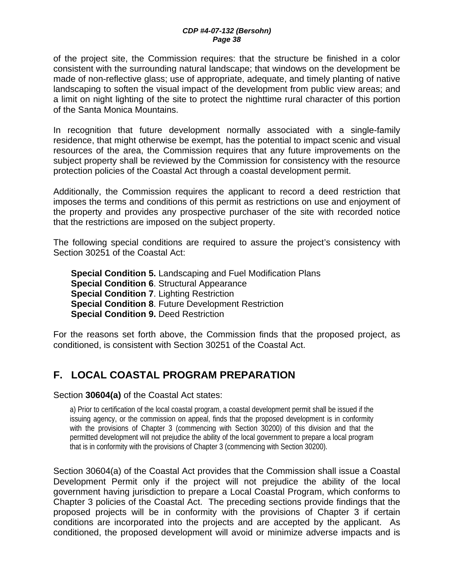of the project site, the Commission requires: that the structure be finished in a color consistent with the surrounding natural landscape; that windows on the development be made of non-reflective glass; use of appropriate, adequate, and timely planting of native landscaping to soften the visual impact of the development from public view areas; and a limit on night lighting of the site to protect the nighttime rural character of this portion of the Santa Monica Mountains.

In recognition that future development normally associated with a single-family residence, that might otherwise be exempt, has the potential to impact scenic and visual resources of the area, the Commission requires that any future improvements on the subject property shall be reviewed by the Commission for consistency with the resource protection policies of the Coastal Act through a coastal development permit.

Additionally, the Commission requires the applicant to record a deed restriction that imposes the terms and conditions of this permit as restrictions on use and enjoyment of the property and provides any prospective purchaser of the site with recorded notice that the restrictions are imposed on the subject property.

The following special conditions are required to assure the project's consistency with Section 30251 of the Coastal Act:

**Special Condition 5.** Landscaping and Fuel Modification Plans **Special Condition 6**. Structural Appearance **Special Condition 7**. Lighting Restriction **Special Condition 8**. Future Development Restriction **Special Condition 9.** Deed Restriction

For the reasons set forth above, the Commission finds that the proposed project, as conditioned, is consistent with Section 30251 of the Coastal Act.

# **F. LOCAL COASTAL PROGRAM PREPARATION**

#### Section **30604(a)** of the Coastal Act states:

a) Prior to certification of the local coastal program, a coastal development permit shall be issued if the issuing agency, or the commission on appeal, finds that the proposed development is in conformity with the provisions of Chapter 3 (commencing with Section 30200) of this division and that the permitted development will not prejudice the ability of the local government to prepare a local program that is in conformity with the provisions of Chapter 3 (commencing with Section 30200).

Section 30604(a) of the Coastal Act provides that the Commission shall issue a Coastal Development Permit only if the project will not prejudice the ability of the local government having jurisdiction to prepare a Local Coastal Program, which conforms to Chapter 3 policies of the Coastal Act. The preceding sections provide findings that the proposed projects will be in conformity with the provisions of Chapter 3 if certain conditions are incorporated into the projects and are accepted by the applicant. As conditioned, the proposed development will avoid or minimize adverse impacts and is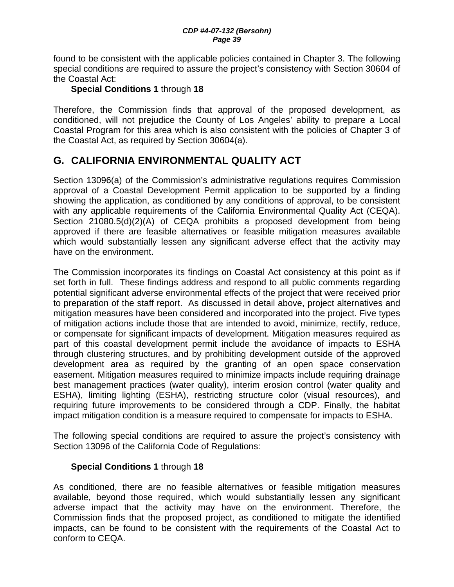found to be consistent with the applicable policies contained in Chapter 3. The following special conditions are required to assure the project's consistency with Section 30604 of the Coastal Act:

#### **Special Conditions 1** through **18**

Therefore, the Commission finds that approval of the proposed development, as conditioned, will not prejudice the County of Los Angeles' ability to prepare a Local Coastal Program for this area which is also consistent with the policies of Chapter 3 of the Coastal Act, as required by Section 30604(a).

## **G. CALIFORNIA ENVIRONMENTAL QUALITY ACT**

Section 13096(a) of the Commission's administrative regulations requires Commission approval of a Coastal Development Permit application to be supported by a finding showing the application, as conditioned by any conditions of approval, to be consistent with any applicable requirements of the California Environmental Quality Act (CEQA). Section 21080.5(d)(2)(A) of CEQA prohibits a proposed development from being approved if there are feasible alternatives or feasible mitigation measures available which would substantially lessen any significant adverse effect that the activity may have on the environment.

The Commission incorporates its findings on Coastal Act consistency at this point as if set forth in full. These findings address and respond to all public comments regarding potential significant adverse environmental effects of the project that were received prior to preparation of the staff report. As discussed in detail above, project alternatives and mitigation measures have been considered and incorporated into the project. Five types of mitigation actions include those that are intended to avoid, minimize, rectify, reduce, or compensate for significant impacts of development. Mitigation measures required as part of this coastal development permit include the avoidance of impacts to ESHA through clustering structures, and by prohibiting development outside of the approved development area as required by the granting of an open space conservation easement. Mitigation measures required to minimize impacts include requiring drainage best management practices (water quality), interim erosion control (water quality and ESHA), limiting lighting (ESHA), restricting structure color (visual resources), and requiring future improvements to be considered through a CDP. Finally, the habitat impact mitigation condition is a measure required to compensate for impacts to ESHA.

The following special conditions are required to assure the project's consistency with Section 13096 of the California Code of Regulations:

#### **Special Conditions 1** through **18**

As conditioned, there are no feasible alternatives or feasible mitigation measures available, beyond those required, which would substantially lessen any significant adverse impact that the activity may have on the environment. Therefore, the Commission finds that the proposed project, as conditioned to mitigate the identified impacts, can be found to be consistent with the requirements of the Coastal Act to conform to CEQA.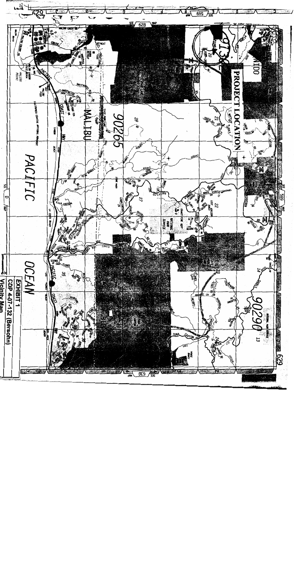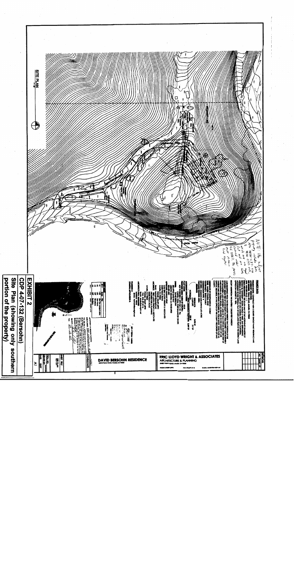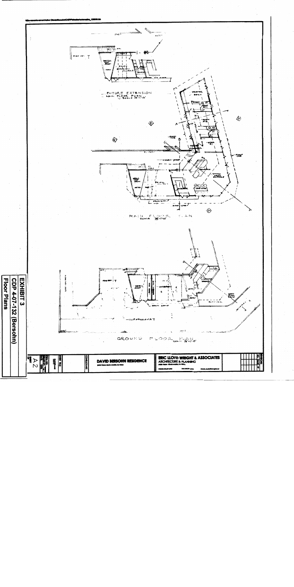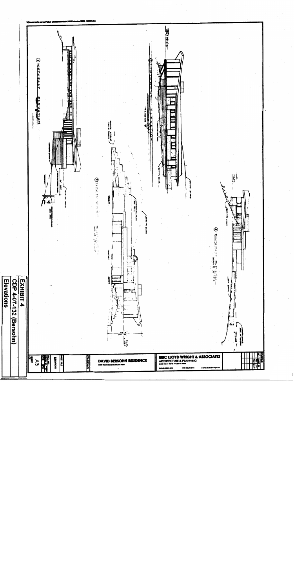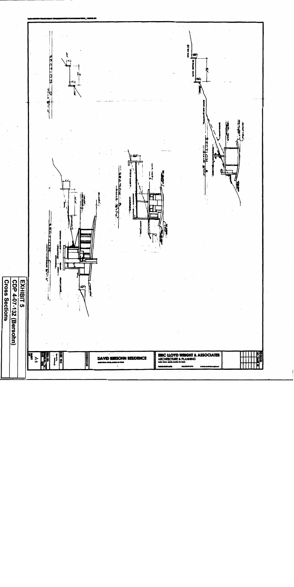